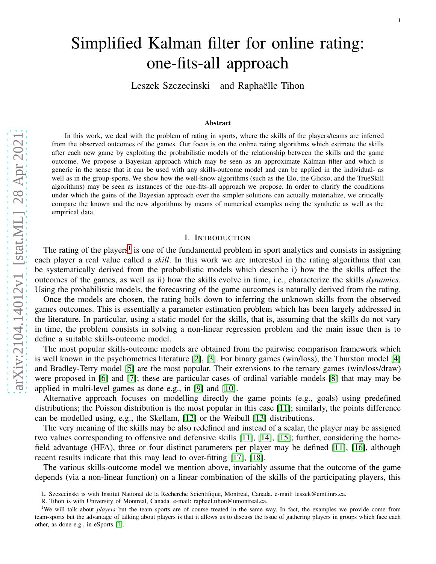# Simplified Kalman filter for online rating: one-fits-all approach

Leszek Szczecinski and Raphaëlle Tihon

#### Abstract

In this work, we deal with the problem of rating in sports, where the skills of the players/teams are inferred from the observed outcomes of the games. Our focus is on the online rating algorithms which estimate the skills after each new game by exploiting the probabilistic models of the relationship between the skills and the game outcome. We propose a Bayesian approach which may be seen as an approximate Kalman filter and which is generic in the sense that it can be used with any skills-outcome model and can be applied in the individual- as well as in the group-sports. We show how the well-know algorithms (such as the Elo, the Glicko, and the TrueSkill algorithms) may be seen as instances of the one-fits-all approach we propose. In order to clarify the conditions under which the gains of the Bayesian approach over the simpler solutions can actually materialize, we critically compare the known and the new algorithms by means of numerical examples using the synthetic as well as the empirical data.

## I. INTRODUCTION

<span id="page-0-1"></span>The rating of the players<sup>[1](#page-0-0)</sup> is one of the fundamental problem in sport analytics and consists in assigning each player a real value called a *skill*. In this work we are interested in the rating algorithms that can be systematically derived from the probabilistic models which describe i) how the the skills affect the outcomes of the games, as well as ii) how the skills evolve in time, i.e., characterize the skills *dynamics*. Using the probabilistic models, the forecasting of the game outcomes is naturally derived from the rating.

Once the models are chosen, the rating boils down to inferring the unknown skills from the observed games outcomes. This is essentially a parameter estimation problem which has been largely addressed in the literature. In particular, using a static model for the skills, that is, assuming that the skills do not vary in time, the problem consists in solving a non-linear regression problem and the main issue then is to define a suitable skills-outcome model.

The most popular skills-outcome models are obtained from the pairwise comparison framework which is well known in the psychometrics literature [\[2\]](#page-20-0), [\[3\]](#page-20-1). For binary games (win/loss), the Thurston model [\[4\]](#page-20-2) and Bradley-Terry model [\[5\]](#page-20-3) are the most popular. Their extensions to the ternary games (win/loss/draw) were proposed in [\[6\]](#page-20-4) and [\[7\]](#page-20-5); these are particular cases of ordinal variable models [\[8\]](#page-20-6) that may may be applied in multi-level games as done e.g., in [\[9\]](#page-20-7) and [\[10\]](#page-20-8).

Alternative approach focuses on modelling directly the game points (e.g., goals) using predefined distributions; the Poisson distribution is the most popular in this case [\[11\]](#page-20-9); similarly, the points difference can be modelled using, e.g., the Skellam, [\[12\]](#page-20-10) or the Weibull [\[13\]](#page-20-11) distributions.

The very meaning of the skills may be also redefined and instead of a scalar, the player may be assigned two values corresponding to offensive and defensive skills [\[11\]](#page-20-9), [\[14\]](#page-20-12), [\[15\]](#page-20-13); further, considering the homefield advantage (HFA), three or four distinct parameters per player may be defined [\[11\]](#page-20-9), [\[16\]](#page-20-14), although recent results indicate that this may lead to over-fitting [\[17\]](#page-20-15), [\[18\]](#page-20-16).

The various skills-outcome model we mention above, invariably assume that the outcome of the game depends (via a non-linear function) on a linear combination of the skills of the participating players, this

L. Szczecinski is with Institut National de la Recherche Scientifique, Montreal, Canada. e-mail: leszek@emt.inrs.ca.

R. Tihon is with University of Montreal, Canada. e-mail: raphael.tihon@umontreal.ca.

<span id="page-0-0"></span><sup>&</sup>lt;sup>1</sup>We will talk about *players* but the team sports are of course treated in the same way. In fact, the examples we provide come from team-sports but the advantage of talking about players is that it allows us to discuss the issue of gathering players in groups which face each other, as done e.g., in eSports [\[1\]](#page-20-17).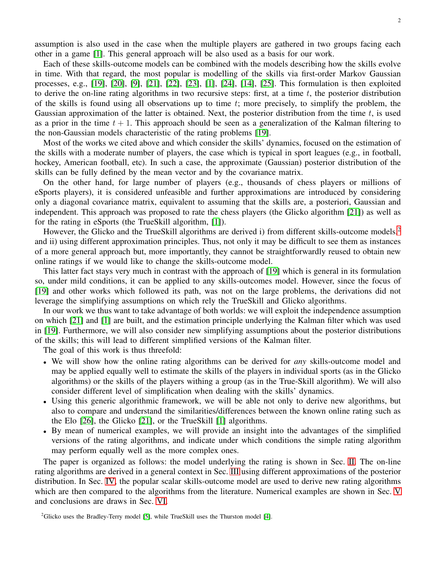assumption is also used in the case when the multiple players are gathered in two groups facing each other in a game [\[1\]](#page-20-17). This general approach will be also used as a basis for our work.

Each of these skills-outcome models can be combined with the models describing how the skills evolve in time. With that regard, the most popular is modelling of the skills via first-order Markov Gaussian processes, e.g., [\[19\]](#page-21-0), [\[20\]](#page-21-1), [\[9\]](#page-20-7), [\[21\]](#page-21-2), [\[22\]](#page-21-3), [\[23\]](#page-21-4), [\[1\]](#page-20-17), [\[24\]](#page-21-5), [\[14\]](#page-20-12), [\[25\]](#page-21-6). This formulation is then exploited to derive the on-line rating algorithms in two recursive steps: first, at a time  $t$ , the posterior distribution of the skills is found using all observations up to time  $t$ ; more precisely, to simplify the problem, the Gaussian approximation of the latter is obtained. Next, the posterior distribution from the time  $t$ , is used as a prior in the time  $t + 1$ . This approach should be seen as a generalization of the Kalman filtering to the non-Gaussian models characteristic of the rating problems [\[19\]](#page-21-0).

Most of the works we cited above and which consider the skills' dynamics, focused on the estimation of the skills with a moderate number of players, the case which is typical in sport leagues (e.g., in football, hockey, American football, etc). In such a case, the approximate (Gaussian) posterior distribution of the skills can be fully defined by the mean vector and by the covariance matrix.

On the other hand, for large number of players (e.g., thousands of chess players or millions of eSports players), it is considered unfeasible and further approximations are introduced by considering only a diagonal covariance matrix, equivalent to assuming that the skills are, a posteriori, Gaussian and independent. This approach was proposed to rate the chess players (the Glicko algorithm [\[21\]](#page-21-2)) as well as for the rating in eSports (the TrueSkill algorithm, [\[1\]](#page-20-17)).

However, the Glicko and the TrueSkill algorithms are derived i) from different skills-outcome models,<sup>[2](#page-1-0)</sup> and ii) using different approximation principles. Thus, not only it may be difficult to see them as instances of a more general approach but, more importantly, they cannot be straightforwardly reused to obtain new online ratings if we would like to change the skills-outcome model.

This latter fact stays very much in contrast with the approach of [\[19\]](#page-21-0) which is general in its formulation so, under mild conditions, it can be applied to any skills-outcomes model. However, since the focus of [\[19\]](#page-21-0) and other works which followed its path, was not on the large problems, the derivations did not leverage the simplifying assumptions on which rely the TrueSkill and Glicko algorithms.

In our work we thus want to take advantage of both worlds: we will exploit the independence assumption on which [\[21\]](#page-21-2) and [\[1\]](#page-20-17) are built, and the estimation principle underlying the Kalman filter which was used in [\[19\]](#page-21-0). Furthermore, we will also consider new simplifying assumptions about the posterior distributions of the skills; this will lead to different simplified versions of the Kalman filter.

The goal of this work is thus threefold:

- We will show how the online rating algorithms can be derived for *any* skills-outcome model and may be applied equally well to estimate the skills of the players in individual sports (as in the Glicko algorithms) or the skills of the players withing a group (as in the True-Skill algorithm). We will also consider different level of simplification when dealing with the skills' dynamics.
- Using this generic algorithmic framework, we will be able not only to derive new algorithms, but also to compare and understand the similarities/differences between the known online rating such as the Elo [\[26\]](#page-21-7), the Glicko [\[21\]](#page-21-2), or the TrueSkill [\[1\]](#page-20-17) algorithms.
- By mean of numerical examples, we will provide an insight into the advantages of the simplified versions of the rating algorithms, and indicate under which conditions the simple rating algorithm may perform equally well as the more complex ones.

The paper is organized as follows: the model underlying the rating is shown in Sec. [II.](#page-2-0) The on-line rating algorithms are derived in a general context in Sec. [III](#page-4-0) using different approximations of the posterior distribution. In Sec. [IV,](#page-9-0) the popular scalar skills-outcome model are used to derive new rating algorithms which are then compared to the algorithms from the literature. Numerical examples are shown in Sec. [V](#page-12-0) and conclusions are draws in Sec. [VI.](#page-18-0)

<span id="page-1-0"></span><sup>&</sup>lt;sup>2</sup>Glicko uses the Bradley-Terry model [\[5\]](#page-20-3), while TrueSkill uses the Thurston model [\[4\]](#page-20-2).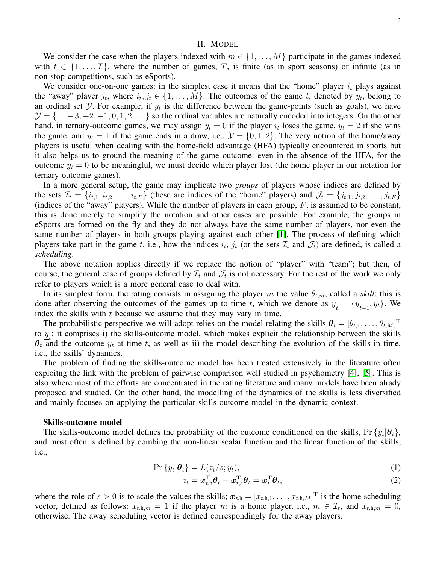#### II. MODEL

<span id="page-2-0"></span>We consider the case when the players indexed with  $m \in \{1, \ldots, M\}$  participate in the games indexed with  $t \in \{1, \ldots, T\}$ , where the number of games, T, is finite (as in sport seasons) or infinite (as in non-stop competitions, such as eSports).

We consider one-on-one games: in the simplest case it means that the "home" player  $i_t$  plays against the "away" player  $j_t$ , where  $i_t, j_t \in \{1, \ldots, M\}$ . The outcomes of the game t, denoted by  $y_t$ , belong to an ordinal set  $Y$ . For example, if  $y_t$  is the difference between the game-points (such as goals), we have  $\mathcal{Y} = \{\ldots, -3, -2, -1, 0, 1, 2, \ldots\}$  so the ordinal variables are naturally encoded into integers. On the other hand, in ternary-outcome games, we may assign  $y_t = 0$  if the player  $i_t$  loses the game,  $y_t = 2$  if she wins the game, and  $y_t = 1$  if the game ends in a draw, i.e.,  $\mathcal{Y} = \{0, 1, 2\}$ . The very notion of the home/away players is useful when dealing with the home-field advantage (HFA) typically encountered in sports but it also helps us to ground the meaning of the game outcome: even in the absence of the HFA, for the outcome  $y_t = 0$  to be meaningful, we must decide which player lost (the home player in our notation for ternary-outcome games).

In a more general setup, the game may implicate two *groups* of players whose indices are defined by the sets  $\mathcal{I}_t = \{i_{t,1}, i_{t,2}, \ldots, i_{t,F}\}\$  (these are indices of the "home" players) and  $\mathcal{J}_t = \{j_{t,1}, j_{t,2}, \ldots, j_{t,F}\}\$ (indices of the "away" players). While the number of players in each group,  $F$ , is assumed to be constant, this is done merely to simplify the notation and other cases are possible. For example, the groups in eSports are formed on the fly and they do not always have the same number of players, nor even the same number of players in both groups playing against each other [\[1\]](#page-20-17). The process of defining which players take part in the game t, i.e., how the indices  $i_t$ ,  $j_t$  (or the sets  $\mathcal{I}_t$  and  $\mathcal{J}_t$ ) are defined, is called a *scheduling*.

The above notation applies directly if we replace the notion of "player" with "team"; but then, of course, the general case of groups defined by  $\mathcal{I}_t$  and  $\mathcal{J}_t$  is not necessary. For the rest of the work we only refer to players which is a more general case to deal with.

In its simplest form, the rating consists in assigning the player m the value  $\theta_{t,m}$ , called a *skill*; this is done after observing the outcomes of the games up to time t, which we denote as  $\underline{y}_t = {\underline{y}_{t-1}, y_t}$ . We index the skills with  $t$  because we assume that they may vary in time.

The probabilistic perspective we will adopt relies on the model relating the skills  $\theta_t = [\theta_{t,1}, \dots, \theta_{t,M}]^T$ to  $\underline{y}_i$ ; it comprises i) the skills-outcome model, which makes explicit the relationship between the skills  $\theta_t$  and the outcome  $y_t$  at time t, as well as ii) the model describing the evolution of the skills in time, i.e., the skills' dynamics.

The problem of finding the skills-outcome model has been treated extensively in the literature often exploitng the link with the problem of pairwise comparison well studied in psychometry [\[4\]](#page-20-2), [\[5\]](#page-20-3). This is also where most of the efforts are concentrated in the rating literature and many models have been alrady proposed and studied. On the other hand, the modelling of the dynamics of the skills is less diversified and mainly focuses on applying the particular skills-outcome model in the dynamic context.

#### Skills-outcome model

The skills-outcome model defines the probability of the outcome conditioned on the skills, Pr  $\{y_t | \theta_t\}$ , and most often is defined by combing the non-linear scalar function and the linear function of the skills, i.e.,

$$
\Pr\{y_t|\boldsymbol{\theta}_t\} = L(z_t/s; y_t),\tag{1}
$$

<span id="page-2-2"></span><span id="page-2-1"></span>
$$
z_t = \boldsymbol{x}_{t,h}^{\mathrm{T}} \boldsymbol{\theta}_t - \boldsymbol{x}_{t,a}^{\mathrm{T}} \boldsymbol{\theta}_t = \boldsymbol{x}_t^{\mathrm{T}} \boldsymbol{\theta}_t, \tag{2}
$$

where the role of  $s > 0$  is to scale the values the skills;  $x_{t,h} = [x_{t,h,1}, \dots, x_{t,h,M}]^T$  is the home scheduling vector, defined as follows:  $x_{t,h,m} = 1$  if the player m is a home player, i.e.,  $m \in \mathcal{I}_t$ , and  $x_{t,h,m} = 0$ , otherwise. The away scheduling vector is defined correspondingly for the away players.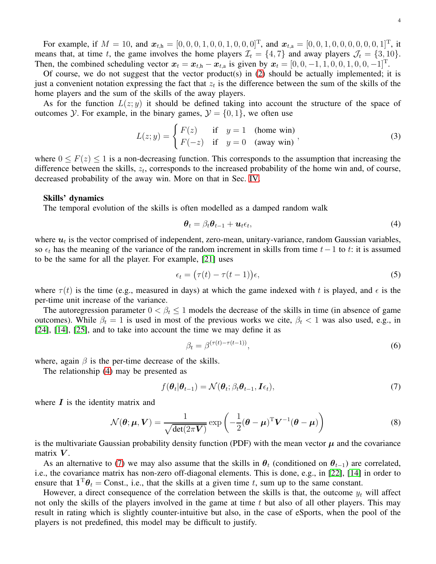For example, if  $M = 10$ , and  $\mathbf{x}_{t,h} = [0, 0, 0, 1, 0, 0, 1, 0, 0, 0]^T$ , and  $\mathbf{x}_{t,a} = [0, 0, 1, 0, 0, 0, 0, 0, 0, 1]^T$ , it means that, at time t, the game involves the home players  $\mathcal{I}_t = \{4, 7\}$  and away players  $\mathcal{J}_t = \{3, 10\}.$ Then, the combined scheduling vector  $\mathbf{x}_t = \mathbf{x}_{t,h} - \mathbf{x}_{t,a}$  is given by  $\mathbf{x}_t = [0, 0, -1, 1, 0, 0, 1, 0, 0, -1]^T$ .

Of course, we do not suggest that the vector product(s) in  $(2)$  should be actually implemented; it is just a convenient notation expressing the fact that  $z_t$  is the difference between the sum of the skills of the home players and the sum of the skills of the away players.

As for the function  $L(z; y)$  it should be defined taking into account the structure of the space of outcomes *Y*. For example, in the binary games,  $\mathcal{Y} = \{0, 1\}$ , we often use

$$
L(z; y) = \begin{cases} F(z) & \text{if } y = 1 \quad \text{(home win)}\\ F(-z) & \text{if } y = 0 \quad \text{(away win)} \end{cases}
$$
 (3)

where  $0 \leq F(z) \leq 1$  is a non-decreasing function. This corresponds to the assumption that increasing the difference between the skills,  $z_t$ , corresponds to the increased probability of the home win and, of course, decreased probability of the away win. More on that in Sec. [IV.](#page-9-0)

## Skills' dynamics

The temporal evolution of the skills is often modelled as a damped random walk

<span id="page-3-3"></span><span id="page-3-0"></span>
$$
\boldsymbol{\theta}_t = \beta_t \boldsymbol{\theta}_{t-1} + \boldsymbol{u}_t \epsilon_t, \tag{4}
$$

where  $u_t$  is the vector comprised of independent, zero-mean, unitary-variance, random Gaussian variables, so  $\epsilon_t$  has the meaning of the variance of the random increment in skills from time  $t-1$  to t: it is assumed to be the same for all the player. For example, [\[21\]](#page-21-2) uses

$$
\epsilon_t = (\tau(t) - \tau(t-1))\epsilon,\tag{5}
$$

where  $\tau(t)$  is the time (e.g., measured in days) at which the game indexed with t is played, and  $\epsilon$  is the per-time unit increase of the variance.

The autoregression parameter  $0 < \beta_t \leq 1$  models the decrease of the skills in time (in absence of game outcomes). While  $\beta_t = 1$  is used in most of the previous works we cite,  $\beta_t < 1$  was also used, e.g., in [\[24\]](#page-21-5), [\[14\]](#page-20-12), [\[25\]](#page-21-6), and to take into account the time we may define it as

<span id="page-3-2"></span><span id="page-3-1"></span>
$$
\beta_t = \beta^{(\tau(t) - \tau(t-1))},\tag{6}
$$

where, again  $\beta$  is the per-time decrease of the skills.

The relationship [\(4\)](#page-3-0) may be presented as

$$
f(\boldsymbol{\theta}_t | \boldsymbol{\theta}_{t-1}) = \mathcal{N}(\boldsymbol{\theta}_t; \beta_t \boldsymbol{\theta}_{t-1}, \boldsymbol{I} \epsilon_t),
$$
\n(7)

where  $\boldsymbol{I}$  is the identity matrix and

$$
\mathcal{N}(\boldsymbol{\theta}; \boldsymbol{\mu}, \boldsymbol{V}) = \frac{1}{\sqrt{\det(2\pi \boldsymbol{V})}} \exp\left(-\frac{1}{2}(\boldsymbol{\theta} - \boldsymbol{\mu})^{\mathrm{T}} \boldsymbol{V}^{-1}(\boldsymbol{\theta} - \boldsymbol{\mu})\right)
$$
(8)

is the multivariate Gaussian probability density function (PDF) with the mean vector  $\mu$  and the covariance matrix  $V$ .

As an alternative to [\(7\)](#page-3-1) we may also assume that the skills in  $\theta_t$  (conditioned on  $\theta_{t-1}$ ) are correlated, i.e., the covariance matrix has non-zero off-diagonal elements. This is done, e.g., in [\[22\]](#page-21-3), [\[14\]](#page-20-12) in order to ensure that  $\mathbf{1}^{\mathrm{T}}\boldsymbol{\theta}_t = \text{Const.}$ , i.e., that the skills at a given time t, sum up to the same constant.

However, a direct consequence of the correlation between the skills is that, the outcome  $y_t$  will affect not only the skills of the players involved in the game at time  $t$  but also of all other players. This may result in rating which is slightly counter-intuitive but also, in the case of eSports, when the pool of the players is not predefined, this model may be difficult to justify.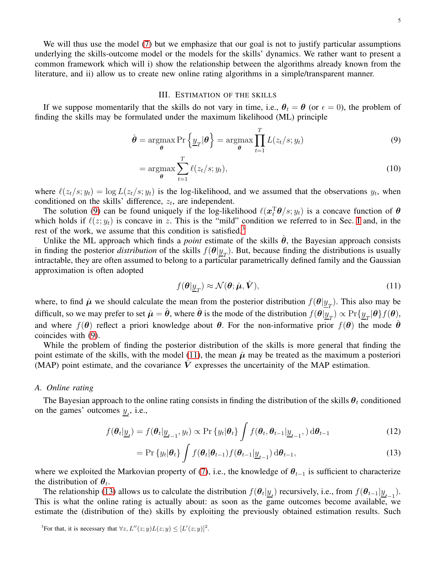We will thus use the model [\(7\)](#page-3-1) but we emphasize that our goal is not to justify particular assumptions underlying the skills-outcome model or the models for the skills' dynamics. We rather want to present a common framework which will i) show the relationship between the algorithms already known from the literature, and ii) allow us to create new online rating algorithms in a simple/transparent manner.

#### <span id="page-4-1"></span>III. ESTIMATION OF THE SKILLS

<span id="page-4-0"></span>If we suppose momentarily that the skills do not vary in time, i.e.,  $\theta_t = \theta$  (or  $\epsilon = 0$ ), the problem of finding the skills may be formulated under the maximum likelihood (ML) principle

$$
\hat{\boldsymbol{\theta}} = \underset{\boldsymbol{\theta}}{\operatorname{argmax}} \Pr \left\{ \underline{y}_T | \boldsymbol{\theta} \right\} = \underset{\boldsymbol{\theta}}{\operatorname{argmax}} \prod_{t=1}^T L(z_t/s; y_t)
$$
\n(9)

$$
= \underset{\theta}{\operatorname{argmax}} \sum_{t=1}^{T} \ell(z_t/s; y_t), \tag{10}
$$

where  $\ell(z_t/s; y_t) = \log L(z_t/s; y_t)$  is the log-likelihood, and we assumed that the observations  $y_t$ , when conditioned on the skills' difference,  $z_t$ , are independent.

The solution [\(9\)](#page-4-1) can be found uniquely if the log-likelihood  $\ell(\mathbf{x}_t^{\mathrm{T}}\boldsymbol{\theta}/s; y_t)$  is a concave function of  $\boldsymbol{\theta}$ which holds if  $\ell(z; y_t)$  is concave in z. This is the "mild" condition we referred to in Sec. [I](#page-0-1) and, in the rest of the work, we assume that this condition is satisfied.<sup>[3](#page-4-2)</sup>

Unlike the ML approach which finds a *point* estimate of the skills  $\theta$ , the Bayesian approach consists in finding the posterior *distribution* of the skills  $f(\theta | y_T)$ . But, because finding the distributions is usually intractable, they are often assumed to belong to a particular parametrically defined family and the Gaussian approximation is often adopted

<span id="page-4-3"></span>
$$
f(\boldsymbol{\theta}|\underline{y}_T) \approx \mathcal{N}(\boldsymbol{\theta}; \hat{\boldsymbol{\mu}}, \hat{\boldsymbol{V}}),\tag{11}
$$

where, to find  $\hat{\mu}$  we should calculate the mean from the posterior distribution  $f(\theta | y_T)$ . This also may be difficult, so we may prefer to set  $\hat{\mu} = \hat{\theta}$ , where  $\hat{\theta}$  is the mode of the distribution  $f(\theta | \underline{y}_T) \propto \Pr{\{\underline{y}_T | \theta\}} f(\theta)$ , and where  $f(\theta)$  reflect a priori knowledge about  $\theta$ . For the non-informative prior  $f(\theta)$  the mode  $\theta$ coincides with [\(9\)](#page-4-1).

While the problem of finding the posterior distribution of the skills is more general that finding the point estimate of the skills, with the model [\(11\)](#page-4-3), the mean  $\hat{\mu}$  may be treated as the maximum a posteriori (MAP) point estimate, and the covariance  $V$  expresses the uncertainity of the MAP estimation.

#### *A. Online rating*

The Bayesian approach to the online rating consists in finding the distribution of the skills  $\theta_t$  conditioned on the games' outcomes  $\underline{y}_t$ , i.e.,

$$
f(\boldsymbol{\theta}_t | \underline{y}_t) = f(\boldsymbol{\theta}_t | \underline{y}_{t-1}, y_t) \propto \Pr \{ y_t | \boldsymbol{\theta}_t \} \int f(\boldsymbol{\theta}_t, \boldsymbol{\theta}_{t-1} | \underline{y}_{t-1}, ) d\boldsymbol{\theta}_{t-1}
$$
(12)

<span id="page-4-4"></span>
$$
= \Pr \{ y_t | \boldsymbol{\theta}_t \} \int f(\boldsymbol{\theta}_t | \boldsymbol{\theta}_{t-1}) f(\boldsymbol{\theta}_{t-1} | \underline{y}_{t-1}) \, \mathrm{d} \boldsymbol{\theta}_{t-1}, \tag{13}
$$

where we exploited the Markovian property of [\(7\)](#page-3-1), i.e., the knowledge of  $\theta_{t-1}$  is sufficient to characterize the distribution of  $\theta_t$ .

The relationship [\(13\)](#page-4-4) allows us to calculate the distribution  $f(\theta_t | y_t)$  recursively, i.e., from  $f(\theta_{t-1} | y_{t-1})$ . This is what the online rating is actually about: as soon as the game outcomes become available, we estimate the (distribution of the) skills by exploiting the previously obtained estimation results. Such

<span id="page-4-2"></span><sup>3</sup>For that, it is necessary that  $\forall z, L''(z; y) L(z; y) \leq [L'(z; y)]^2$ .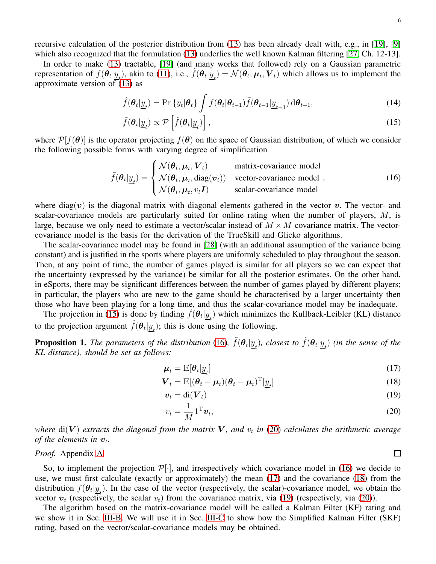recursive calculation of the posterior distribution from [\(13\)](#page-4-4) has been already dealt with, e.g., in [\[19\]](#page-21-0), [\[9\]](#page-20-7) which also recognized that the formulation [\(13\)](#page-4-4) underlies the well known Kalman filtering [\[27,](#page-21-8) Ch. 12-13].

In order to make [\(13\)](#page-4-4) tractable, [\[19\]](#page-21-0) (and many works that followed) rely on a Gaussian parametric representation of  $f(\theta_t | \underline{y}_t)$ , akin to [\(11\)](#page-4-3), i.e.,  $\tilde{f}(\theta_t | \underline{y}_t) = \mathcal{N}(\theta_t; \mu_t, V_t)$  which allows us to implement the approximate version of  $(13)$  as

$$
\hat{f}(\boldsymbol{\theta}_t | \underline{y}_t) = \Pr \{ y_t | \boldsymbol{\theta}_t \} \int f(\boldsymbol{\theta}_t | \boldsymbol{\theta}_{t-1}) \tilde{f}(\boldsymbol{\theta}_{t-1} | \underline{y}_{t-1}) \, d\boldsymbol{\theta}_{t-1}, \tag{14}
$$

$$
\tilde{f}(\boldsymbol{\theta}_t | \underline{y}_t) \propto \mathcal{P}\left[\hat{f}(\boldsymbol{\theta}_t | \underline{y}_t)\right],\tag{15}
$$

where  $\mathcal{P}[f(\theta)]$  is the operator projecting  $f(\theta)$  on the space of Gaussian distribution, of which we consider the following possible forms with varying degree of simplification

$$
\tilde{f}(\boldsymbol{\theta}_t | \underline{y}_t) = \begin{cases}\n\mathcal{N}(\boldsymbol{\theta}_t, \boldsymbol{\mu}_t, \boldsymbol{V}_t) & \text{matrix-covariance model} \\
\mathcal{N}(\boldsymbol{\theta}_t, \boldsymbol{\mu}_t, \text{diag}(\boldsymbol{v}_t)) & \text{vector-covariance model} \\
\mathcal{N}(\boldsymbol{\theta}_t, \boldsymbol{\mu}_t, v_t \boldsymbol{I}) & \text{scalar-covariance model}\n\end{cases}
$$
\n(16)

where diag(v) is the diagonal matrix with diagonal elements gathered in the vector v. The vector- and scalar-covariance models are particularly suited for online rating when the number of players, M, is large, because we only need to estimate a vector/scalar instead of  $M \times M$  covariance matrix. The vectorcovariance model is the basis for the derivation of the TrueSkill and Glicko algorithms.

The scalar-covariance model may be found in [\[28\]](#page-21-9) (with an additional assumption of the variance being constant) and is justified in the sports where players are uniformly scheduled to play throughout the season. Then, at any point of time, the number of games played is similar for all players so we can expect that the uncertainty (expressed by the variance) be similar for all the posterior estimates. On the other hand, in eSports, there may be significant differences between the number of games played by different players; in particular, the players who are new to the game should be characterised by a larger uncertainty then those who have been playing for a long time, and thus the scalar-covariance model may be inadequate.

The projection in [\(15\)](#page-5-0) is done by finding  $\tilde{f}(\theta_t | \underline{y}_t)$  which minimizes the Kullback-Leibler (KL) distance to the projection argument  $\hat{f}(\theta_t | \underline{y}_t)$ ; this is done using the following.

<span id="page-5-7"></span>**Proposition 1.** The parameters of the distribution [\(16\)](#page-5-1),  $\tilde{f}(\theta_t | \underline{y}_t)$ , closest to  $\hat{f}(\theta_t | \underline{y}_t)$  (in the sense of the *KL distance), should be set as follows:*

$$
\mu_t = \mathbb{E}[\theta_t | \underline{y}_t] \tag{17}
$$

$$
\boldsymbol{V}_t = \mathbb{E}[(\boldsymbol{\theta}_t - \boldsymbol{\mu}_t)(\boldsymbol{\theta}_t - \boldsymbol{\mu}_t)^{\mathrm{T}} | \underline{y}_t]
$$
\n(18)

$$
\boldsymbol{v}_t = \mathrm{di}(\boldsymbol{V}_t) \tag{19}
$$

$$
v_t = \frac{1}{M} \mathbf{1}^{\mathrm{T}} \boldsymbol{v}_t,\tag{20}
$$

where  $\textrm{di}(\bm{V})$  extracts the diagonal from the matrix  $\bm{V}$ , and  $v_t$  in [\(20\)](#page-5-2) calculates the arithmetic average *of the elements in*  $v_t$ .

## *Proof.* Appendix [A](#page-19-0)

So, to implement the projection  $\mathcal{P}[\cdot]$ , and irrespectively which covariance model in [\(16\)](#page-5-1) we decide to use, we must first calculate (exactly or approximately) the mean [\(17\)](#page-5-3) and the covariance [\(18\)](#page-5-4) from the distribution  $f(\theta_t | y_t)$ . In the case of the vector (respectively, the scalar)-covariance model, we obtain the vector  $v_t$  (respectively, the scalar  $v_t$ ) from the covariance matrix, via [\(19\)](#page-5-5) (respectively, via [\(20\)](#page-5-2)).

The algorithm based on the matrix-covariance model will be called a Kalman Filter (KF) rating and we show it in Sec. [III-B.](#page-6-0) We will use it in Sec. [III-C](#page-7-0) to show how the Simplified Kalman Filter (SKF) rating, based on the vector/scalar-covariance models may be obtained.

<span id="page-5-6"></span><span id="page-5-1"></span><span id="page-5-0"></span>6

<span id="page-5-5"></span><span id="page-5-4"></span><span id="page-5-3"></span><span id="page-5-2"></span> $\Box$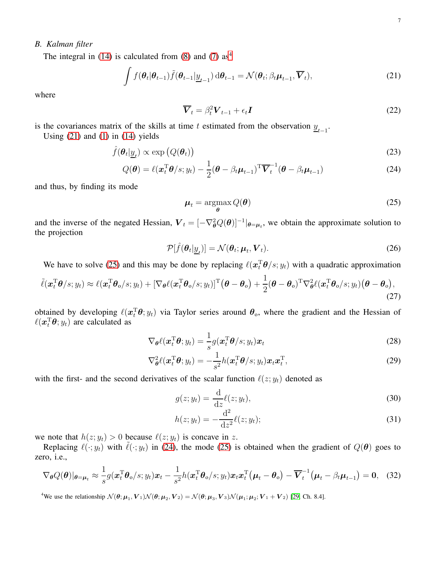# <span id="page-6-0"></span>*B. Kalman filter*

The integral in  $(14)$  is calculated from  $(8)$  and  $(7)$  as<sup>[4](#page-6-1)</sup>

$$
\int f(\boldsymbol{\theta}_t | \boldsymbol{\theta}_{t-1}) \tilde{f}(\boldsymbol{\theta}_{t-1} | \underline{y}_{t-1}) \, d\boldsymbol{\theta}_{t-1} = \mathcal{N}(\boldsymbol{\theta}_t; \beta_t \boldsymbol{\mu}_{t-1}, \overline{\boldsymbol{V}}_t), \tag{21}
$$

where

<span id="page-6-2"></span>
$$
\overline{\boldsymbol{V}}_t = \beta_t^2 \boldsymbol{V}_{t-1} + \epsilon_t \boldsymbol{I} \tag{22}
$$

is the covariances matrix of the skills at time t estimated from the observation  $\underline{y}_{t-1}$ .

Using  $(21)$  and  $(1)$  in  $(14)$  yields

$$
\hat{f}(\boldsymbol{\theta}_t | \underline{y}_t) \propto \exp(Q(\boldsymbol{\theta}_t))
$$
\n(23)

$$
Q(\boldsymbol{\theta}) = \ell(\boldsymbol{x}_t^{\mathrm{T}} \boldsymbol{\theta}/s; y_t) - \frac{1}{2} (\boldsymbol{\theta} - \beta_t \boldsymbol{\mu}_{t-1})^{\mathrm{T}} \overline{\boldsymbol{V}}_t^{-1} (\boldsymbol{\theta} - \beta_t \boldsymbol{\mu}_{t-1})
$$
(24)

and thus, by finding its mode

<span id="page-6-4"></span><span id="page-6-3"></span>
$$
\mu_t = \operatorname*{argmax}_{\theta} Q(\theta) \tag{25}
$$

and the inverse of the negated Hessian,  $V_t = [-\nabla_{\theta}^2 Q(\theta)]^{-1}|_{\theta=\mu_t}$ , we obtain the approximate solution to the projection

$$
\mathcal{P}[\hat{f}(\boldsymbol{\theta}_t | \underline{y}_t)] = \mathcal{N}(\boldsymbol{\theta}_t; \boldsymbol{\mu}_t, \boldsymbol{V}_t). \tag{26}
$$

We have to solve [\(25\)](#page-6-3) and this may be done by replacing  $\ell(\mathbf{x}_t^{\mathrm{T}}\boldsymbol{\theta}/s; y_t)$  with a quadratic approximation

$$
\tilde{\ell}(\boldsymbol{x}_t^{\mathrm{T}}\boldsymbol{\theta}/s; y_t) \approx \ell(\boldsymbol{x}_t^{\mathrm{T}}\boldsymbol{\theta}_0/s; y_t) + [\nabla_{\boldsymbol{\theta}}\ell(\boldsymbol{x}_t^{\mathrm{T}}\boldsymbol{\theta}_0/s; y_t)]^{\mathrm{T}}(\boldsymbol{\theta} - \boldsymbol{\theta}_0) + \frac{1}{2}(\boldsymbol{\theta} - \boldsymbol{\theta}_0)^{\mathrm{T}}\nabla_{\boldsymbol{\theta}}^2\ell(\boldsymbol{x}_t^{\mathrm{T}}\boldsymbol{\theta}_0/s; y_t)(\boldsymbol{\theta} - \boldsymbol{\theta}_0),
$$
\n(27)

obtained by developing  $\ell(\mathbf{x}_t^{\mathrm{T}}\boldsymbol{\theta};y_t)$  via Taylor series around  $\boldsymbol{\theta}_0$ , where the gradient and the Hessian of  $\ell(\boldsymbol{x}_t^{\mathrm{T}}\boldsymbol{\theta};y_t)$  are calculated as

$$
\nabla_{\theta} \ell(\boldsymbol{x}_t^{\mathrm{T}} \boldsymbol{\theta}; y_t) = \frac{1}{s} g(\boldsymbol{x}_t^{\mathrm{T}} \boldsymbol{\theta}/s; y_t) \boldsymbol{x}_t
$$
\n(28)

$$
\nabla_{\boldsymbol{\theta}}^2 \ell(\boldsymbol{x}_t^{\mathrm{T}} \boldsymbol{\theta}; y_t) = -\frac{1}{s^2} h(\boldsymbol{x}_t^{\mathrm{T}} \boldsymbol{\theta}/s; y_t) \boldsymbol{x}_t \boldsymbol{x}_t^{\mathrm{T}},
$$
\n(29)

with the first- and the second derivatives of the scalar function  $\ell(z; y_t)$  denoted as

$$
g(z; y_t) = \frac{\mathrm{d}}{\mathrm{d}z} \ell(z; y_t),\tag{30}
$$

$$
h(z; y_t) = -\frac{d^2}{dz^2} \ell(z; y_t); \tag{31}
$$

we note that  $h(z; y_t) > 0$  because  $\ell(z; y_t)$  is concave in z.

Replacing  $\ell(\cdot; y_t)$  with  $\tilde{\ell}(\cdot; y_t)$  in [\(24\)](#page-6-4), the mode [\(25\)](#page-6-3) is obtained when the gradient of  $Q(\theta)$  goes to zero, i.e.,

$$
\nabla_{\theta} Q(\theta)|_{\theta=\mu_t} \approx \frac{1}{s} g(\boldsymbol{x}_t^{\mathrm{T}} \boldsymbol{\theta}_0 / s; y_t) \boldsymbol{x}_t - \frac{1}{s^2} h(\boldsymbol{x}_t^{\mathrm{T}} \boldsymbol{\theta}_0 / s; y_t) \boldsymbol{x}_t \boldsymbol{x}_t^{\mathrm{T}} (\boldsymbol{\mu}_t - \boldsymbol{\theta}_0) - \overline{\boldsymbol{V}}_t^{-1} (\boldsymbol{\mu}_t - \beta_t \boldsymbol{\mu}_{t-1}) = \mathbf{0}, \quad (32)
$$

<span id="page-6-1"></span><sup>4</sup>We use the relationship  $\mathcal{N}(\theta; \mu_1, \mathbf{V}_1)\mathcal{N}(\theta; \mu_2, \mathbf{V}_2) = \mathcal{N}(\theta; \mu_3, \mathbf{V}_3)\mathcal{N}(\mu_1; \mu_2; \mathbf{V}_1 + \mathbf{V}_2)$  [\[29,](#page-21-10) Ch. 8.4].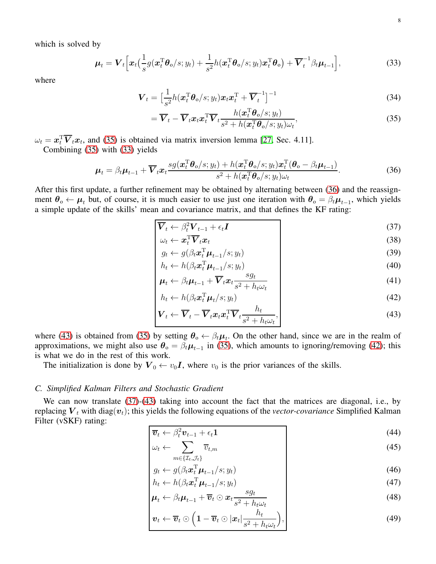which is solved by

$$
\boldsymbol{\mu}_t = \boldsymbol{V}_t \Big[ \boldsymbol{x}_t \big( \frac{1}{s} g(\boldsymbol{x}_t^{\mathrm{T}} \boldsymbol{\theta}_0 / s; y_t) + \frac{1}{s^2} h(\boldsymbol{x}_t^{\mathrm{T}} \boldsymbol{\theta}_0 / s; y_t) \boldsymbol{x}_t^{\mathrm{T}} \boldsymbol{\theta}_0 \big) + \overline{\boldsymbol{V}}_t^{-1} \beta_t \boldsymbol{\mu}_{t-1} \Big], \tag{33}
$$

where

$$
\boldsymbol{V}_t = \left[\frac{1}{s^2}h(\boldsymbol{x}_t^{\mathrm{T}}\boldsymbol{\theta}_0/s; y_t)\boldsymbol{x}_t\boldsymbol{x}_t^{\mathrm{T}} + \overline{\boldsymbol{V}}_t^{-1}\right]^{-1} \tag{34}
$$

<span id="page-7-2"></span><span id="page-7-1"></span>
$$
= \overline{\boldsymbol{V}}_t - \overline{\boldsymbol{V}}_t \boldsymbol{x}_t \boldsymbol{x}_t^{\mathrm{T}} \overline{\boldsymbol{V}}_t \frac{h(\boldsymbol{x}_t^{\mathrm{T}} \boldsymbol{\theta}_0 / s; y_t)}{s^2 + h(\boldsymbol{x}_t^{\mathrm{T}} \boldsymbol{\theta}_0 / s; y_t) \omega_t},
$$
(35)

 $\omega_t = \mathbf{x}_t^{\mathrm{T}} \overline{\mathbf{V}}_t \mathbf{x}_t$ , and [\(35\)](#page-7-1) is obtained via matrix inversion lemma [\[27,](#page-21-8) Sec. 4.11].

Combining [\(35\)](#page-7-1) with [\(33\)](#page-7-2) yields

$$
\boldsymbol{\mu}_t = \beta_t \boldsymbol{\mu}_{t-1} + \overline{\boldsymbol{V}}_t \boldsymbol{x}_t \frac{sg(\boldsymbol{x}_t^{\mathrm{T}} \boldsymbol{\theta}_0 / s; y_t) + h(\boldsymbol{x}_t^{\mathrm{T}} \boldsymbol{\theta}_0 / s; y_t) \boldsymbol{x}_t^{\mathrm{T}} (\boldsymbol{\theta}_0 - \beta_t \boldsymbol{\mu}_{t-1})}{s^2 + h(\boldsymbol{x}_t^{\mathrm{T}} \boldsymbol{\theta}_0 / s; y_t) \omega_t}.
$$
(36)

After this first update, a further refinement may be obtained by alternating between [\(36\)](#page-7-3) and the reassignment  $\theta_0 \leftarrow \mu_t$  but, of course, it is much easier to use just one iteration with  $\theta_0 = \beta_t \mu_{t-1}$ , which yields a simple update of the skills' mean and covariance matrix, and that defines the KF rating:

<span id="page-7-3"></span>
$$
\overline{\bm{V}}_t \leftarrow \beta_t^2 \bm{V}_{t-1} + \epsilon_t \bm{I} \tag{37}
$$

<span id="page-7-6"></span>
$$
\omega_t \leftarrow \boldsymbol{x}_t^{\mathrm{T}} \overline{\boldsymbol{V}}_t \boldsymbol{x}_t \tag{38}
$$

$$
g_t \leftarrow g(\beta_t \boldsymbol{x}_t^{\mathrm{T}} \boldsymbol{\mu}_{t-1} / s; y_t)
$$
(39)

<span id="page-7-9"></span>
$$
h_t \leftarrow h(\beta_t \mathbf{x}_t^{\mathrm{T}} \boldsymbol{\mu}_{t-1} / s; y_t)
$$
  

$$
\boldsymbol{\mu}_t \leftarrow \beta_t \boldsymbol{\mu}_{t-1} + \overline{\boldsymbol{V}}_t \mathbf{x}_t \frac{s g_t}{s} \tag{41}
$$

<span id="page-7-5"></span><span id="page-7-4"></span>
$$
\boldsymbol{\mu}_t \leftarrow \beta_t \boldsymbol{\mu}_{t-1} + \boldsymbol{V}_t \boldsymbol{x}_t \frac{\partial \boldsymbol{y}_t}{\partial \boldsymbol{x}_t^2 + h_t \omega_t} \tag{41}
$$
\n
$$
h_t \leftarrow h(\beta_t \boldsymbol{x}_t^{\mathrm{T}} \boldsymbol{\mu}_t / s; y_t) \tag{42}
$$

$$
\mathbf{V}_t \leftarrow \overline{\mathbf{V}}_t - \overline{\mathbf{V}}_t \mathbf{x}_t \mathbf{x}_t^{\mathrm{T}} \overline{\mathbf{V}}_t \frac{h_t}{s^2 + h_t \omega_t},\tag{43}
$$

where [\(43\)](#page-7-4) is obtained from [\(35\)](#page-7-1) by setting  $\theta_0 \leftarrow \beta_t \mu_t$ . On the other hand, since we are in the realm of approximations, we might also use  $\theta_0 = \beta_t \mu_{t-1}$  in [\(35\)](#page-7-1), which amounts to ignoring/removing [\(42\)](#page-7-5); this is what we do in the rest of this work.

The initialization is done by  $V_0 \leftarrow v_0 I$ , where  $v_0$  is the prior variances of the skills.

## <span id="page-7-0"></span>*C. Simplified Kalman Filters and Stochastic Gradient*

We can now translate [\(37\)](#page-7-6)-[\(43\)](#page-7-4) taking into account the fact that the matrices are diagonal, i.e., by replacing  $V_t$  with diag( $v_t$ ); this yields the following equations of the *vector-covariance* Simplified Kalman Filter (vSKF) rating:

$$
\overline{v}_t \leftarrow \beta_t^2 v_{t-1} + \epsilon_t \mathbf{1}
$$
\n(44)

$$
\omega_t \leftarrow \sum_{m \in \{\mathcal{I}_t, \mathcal{J}_t\}} \overline{v}_{t,m} \tag{45}
$$

$$
g_t \leftarrow g(\beta_t \mathbf{x}_t^{\mathrm{T}} \boldsymbol{\mu}_{t-1}/s; y_t)
$$
\n
$$
h_t \leftarrow h(\beta_t \mathbf{x}_t^{\mathrm{T}} \boldsymbol{\mu}_{t-1}/s; y_t)
$$
\n(46)

$$
\begin{vmatrix}\nh_t \leftarrow h(\beta_t \mathbf{x}_t^{\mathrm{T}} \boldsymbol{\mu}_{t-1} / s; y_t) \\
\boldsymbol{\mu}_t \leftarrow \beta_t \boldsymbol{\mu}_{t-1} + \overline{\boldsymbol{\eta}}_t \odot \mathbf{x}_t - \frac{s g_t}{\sigma^2} \tag{48}
$$

$$
\boldsymbol{\mu}_t \leftarrow \beta_t \boldsymbol{\mu}_{t-1} + \overline{\boldsymbol{v}}_t \odot \boldsymbol{x}_t \frac{\partial \boldsymbol{g}_t}{\partial \boldsymbol{x}_t + \boldsymbol{h}_t \omega_t} \tag{48}
$$

<span id="page-7-8"></span><span id="page-7-7"></span>
$$
\boldsymbol{v}_t \leftarrow \overline{\boldsymbol{v}}_t \odot \left(1 - \overline{\boldsymbol{v}}_t \odot |\boldsymbol{x}_t| \frac{h_t}{s^2 + h_t \omega_t}\right), \tag{49}
$$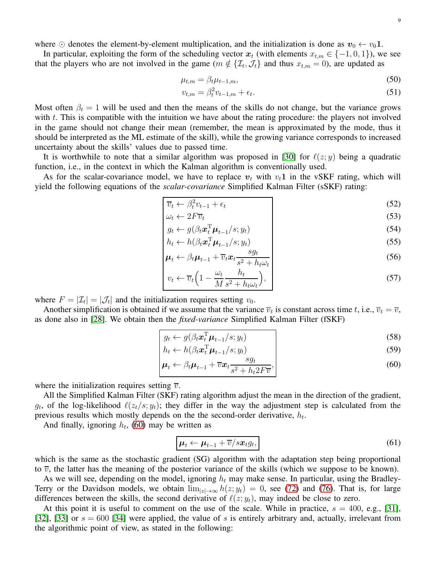where  $\odot$  denotes the element-by-element multiplication, and the initialization is done as  $v_0 \leftarrow v_0 \mathbf{1}$ .

In particular, exploiting the form of the scheduling vector  $x_t$  (with elements  $x_{t,m} \in \{-1,0,1\}$ ), we see that the players who are not involved in the game ( $m \notin \{\mathcal{I}_t, \mathcal{J}_t\}$  and thus  $x_{t,m} = 0$ ), are updated as

$$
\mu_{t,m} = \beta_t \mu_{t-1,m},\tag{50}
$$

$$
v_{t,m} = \beta_t^2 v_{t-1,m} + \epsilon_t. \tag{51}
$$

Most often  $\beta_t = 1$  will be used and then the means of the skills do not change, but the variance grows with  $t$ . This is compatible with the intuition we have about the rating procedure: the players not involved in the game should not change their mean (remember, the mean is approximated by the mode, thus it should be interpreted as the ML estimate of the skill), while the growing variance corresponds to increased uncertainty about the skills' values due to passed time.

It is worthwhile to note that a similar algorithm was proposed in [\[30\]](#page-21-11) for  $\ell(z; y)$  being a quadratic function, i.e., in the context in which the Kalman algorithm is conventionally used.

As for the scalar-covariance model, we have to replace  $v_t$  with  $v_t1$  in the vSKF rating, which will yield the following equations of the *scalar-covariance* Simplified Kalman Filter (sSKF) rating:

$$
\overline{v}_t \leftarrow \beta_t^2 v_{t-1} + \epsilon_t \tag{52}
$$

$$
\omega_t \leftarrow 2F\overline{v}_t \tag{53}
$$

$$
g_t \leftarrow g(\beta_t \boldsymbol{x}_t^{\mathrm{T}} \boldsymbol{\mu}_{t-1} / s; y_t)
$$
  
\n
$$
h_t \leftarrow h(\beta_t \boldsymbol{x}_t^{\mathrm{T}} \boldsymbol{\mu}_{t-1} / s; y_t)
$$
\n(55)

$$
\begin{vmatrix}\nh_t \leftarrow h(\beta_t \mathbf{x}_t^{\mathrm{T}} \boldsymbol{\mu}_{t-1} / s; y_t) \\
\boldsymbol{\mu}_t \leftarrow \beta_t \boldsymbol{\mu}_{t-1} + \overline{v}_t \mathbf{x}_t \frac{sg_t}{s^2 + h_t \omega_t}\n\end{vmatrix}
$$
\n(55)

$$
v_t \leftarrow \overline{v}_t \left( 1 - \frac{\omega_t}{M} \frac{h_t}{s^2 + h_t \omega_t} \right), \tag{57}
$$

where  $F = |\mathcal{I}_t| = |\mathcal{J}_t|$  and the initialization requires setting  $v_0$ .

Another simplification is obtained if we assume that the variance  $\overline{v}_t$  is constant across time t, i.e.,  $\overline{v}_t = \overline{v}$ , as done also in [\[28\]](#page-21-9). We obtain then the *fixed-variance* Simplified Kalman Filter (fSKF)

$$
g_t \leftarrow g(\beta_t \boldsymbol{x}_t^{\mathrm{T}} \boldsymbol{\mu}_{t-1}/s; y_t)
$$
\n(58)

$$
h_t \leftarrow h(\beta_t \mathbf{x}_t^{\mathrm{T}} \boldsymbol{\mu}_{t-1} / s; y_t)
$$
 (59)

$$
\boldsymbol{\mu}_t \leftarrow \beta_t \boldsymbol{\mu}_{t-1} + \overline{v} \boldsymbol{x}_t \frac{s g_t}{s^2 + h_t 2F \overline{v}},\tag{60}
$$

where the initialization requires setting  $\overline{v}$ .

All the Simplified Kalman Filter (SKF) rating algorithm adjust the mean in the direction of the gradient,  $g_t$ , of the log-likelihood  $\ell(z_t/s; y_t)$ ; they differ in the way the adjustment step is calculated from the previous results which mostly depends on the the second-order derivative,  $h_t$ .

And finally, ignoring  $h_t$ , [\(60\)](#page-8-0) may be written as

<span id="page-8-1"></span><span id="page-8-0"></span>
$$
\boldsymbol{\mu}_t \leftarrow \boldsymbol{\mu}_{t-1} + \overline{v}/s \boldsymbol{x}_t g_t, \tag{61}
$$

which is the same as the stochastic gradient (SG) algorithm with the adaptation step being proportional to  $\overline{v}$ , the latter has the meaning of the posterior variance of the skills (which we suppose to be known).

As we will see, depending on the model, ignoring  $h_t$  may make sense. In particular, using the Bradley-Terry or the Davidson models, we obtain  $\lim_{|z|\to\infty} h(z; y_t) = 0$ , see [\(72\)](#page-9-1) and [\(76\)](#page-10-0). That is, for large differences between the skills, the second derivative of  $\ell(z; y_t)$ , may indeed be close to zero.

At this point it is useful to comment on the use of the scale. While in practice,  $s = 400$ , e.g., [\[31\]](#page-21-12), [\[32\]](#page-21-13), [\[33\]](#page-21-14) or  $s = 600$  [\[34\]](#page-21-15) were applied, the value of s is entirely arbitrary and, actually, irrelevant from the algorithmic point of view, as stated in the following: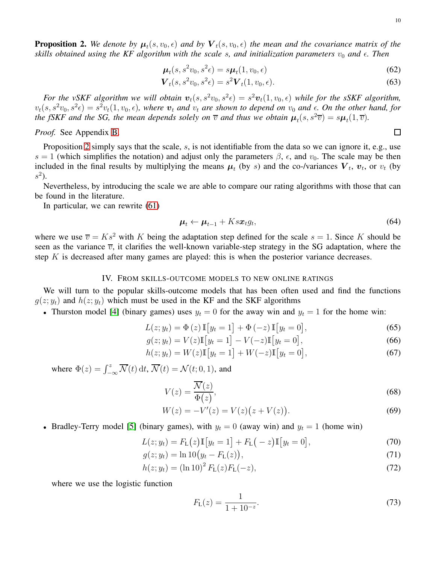<span id="page-9-7"></span><span id="page-9-6"></span><span id="page-9-4"></span> $\Box$ 

<span id="page-9-2"></span>**Proposition 2.** We denote by  $\mu_t(s, v_0, \epsilon)$  and by  $\bm{V}_t(s, v_0, \epsilon)$  the mean and the covariance matrix of the *skills obtained using the KF algorithm with the scale s, and initialization parameters*  $v_0$  *and*  $\epsilon$ *. Then* 

$$
\boldsymbol{\mu}_t(s, s^2v_0, s^2\epsilon) = s\boldsymbol{\mu}_t(1, v_0, \epsilon)
$$
\n(62)

$$
\mathbf{V}_t(s, s^2 v_0, s^2 \epsilon) = s^2 \mathbf{V}_t(1, v_0, \epsilon).
$$
 (63)

For the vSKF algorithm we will obtain  $v_t(s, s^2v_0, s^2\epsilon) = s^2v_t(1, v_0, \epsilon)$  while for the sSKF algorithm,  $v_t(s, s^2v_0, s^2\epsilon) = s^2v_t(1, v_0, \epsilon)$ , where  $v_t$  and  $v_t$  are shown to depend on  $v_0$  and  $\epsilon$ . On the other hand, for *the fSKF and the SG, the mean depends solely on*  $\overline{v}$  *and thus we obtain*  $\mu_t(s, s^2\overline{v}) = s\mu_t(1, \overline{v})$ *.* 

## *Proof.* See Appendix [B.](#page-19-1)

Proposition [2](#page-9-2) simply says that the scale, s, is not identifiable from the data so we can ignore it, e.g., use s = 1 (which simplifies the notation) and adjust only the parameters  $\beta$ ,  $\epsilon$ , and  $v_0$ . The scale may be then included in the final results by multiplying the means  $\mu_t$  (by s) and the co-/variances  $V_t$ ,  $v_t$ , or  $v_t$  (by  $s^2$ ).

Nevertheless, by introducing the scale we are able to compare our rating algorithms with those that can be found in the literature.

In particular, we can rewrite [\(61\)](#page-8-1)

$$
\boldsymbol{\mu}_t \leftarrow \boldsymbol{\mu}_{t-1} + K s \boldsymbol{x}_t g_t, \tag{64}
$$

where we use  $\overline{v} = Ks^2$  with K being the adaptation step defined for the scale  $s = 1$ . Since K should be seen as the variance  $\overline{v}$ , it clarifies the well-known variable-step strategy in the SG adaptation, where the step  $K$  is decreased after many games are played: this is when the posterior variance decreases.

## IV. FROM SKILLS-OUTCOME MODELS TO NEW ONLINE RATINGS

<span id="page-9-0"></span>We will turn to the popular skills-outcome models that has been often used and find the functions  $g(z; y_t)$  and  $h(z; y_t)$  which must be used in the KF and the SKF algorithms

• Thurston model [\[4\]](#page-20-2) (binary games) uses  $y_t = 0$  for the away win and  $y_t = 1$  for the home win:

$$
L(z; y_t) = \Phi(z) \, \mathbb{I}[y_t = 1] + \Phi(-z) \, \mathbb{I}[y_t = 0], \tag{65}
$$

$$
g(z; y_t) = V(z) \mathbb{I}[y_t = 1] - V(-z) \mathbb{I}[y_t = 0],
$$
\n(66)

$$
h(z; y_t) = W(z) \mathbb{I}[y_t = 1] + W(-z) \mathbb{I}[y_t = 0],
$$
\n(67)

where  $\Phi(z) = \int_{-\infty}^{z} \overline{\mathcal{N}}(t) dt$ ,  $\overline{\mathcal{N}}(t) = \mathcal{N}(t; 0, 1)$ , and

$$
V(z) = \frac{\overline{\mathcal{N}(z)}}{\Phi(z)},\tag{68}
$$

$$
W(z) = -V'(z) = V(z)(z + V(z)).
$$
\n(69)

• Bradley-Terry model [\[5\]](#page-20-3) (binary games), with  $y_t = 0$  (away win) and  $y_t = 1$  (home win)

$$
L(z; y_t) = F_L(z) \mathbb{I}[y_t = 1] + F_L(-z) \mathbb{I}[y_t = 0],
$$
\n(70)

$$
g(z; y_t) = \ln 10 (y_t - F_L(z)),
$$
\n(71)

$$
h(z; y_t) = (\ln 10)^2 F_{\rm L}(z) F_{\rm L}(-z),\tag{72}
$$

where we use the logistic function

<span id="page-9-8"></span><span id="page-9-5"></span><span id="page-9-3"></span><span id="page-9-1"></span>
$$
F_{\mathcal{L}}(z) = \frac{1}{1 + 10^{-z}}.\tag{73}
$$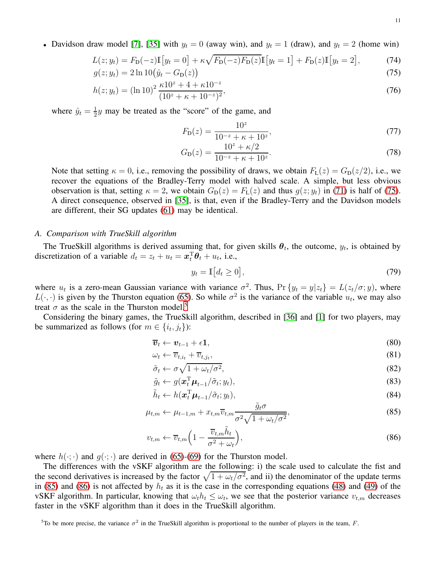• Davidson draw model [\[7\]](#page-20-5), [\[35\]](#page-21-16) with  $y_t = 0$  (away win), and  $y_t = 1$  (draw), and  $y_t = 2$  (home win)

$$
L(z; y_t) = F_D(-z)\mathbb{I}[y_t = 0] + \kappa \sqrt{F_D(-z)F_D(z)}\mathbb{I}[y_t = 1] + F_D(z)\mathbb{I}[y_t = 2],
$$
(74)  

$$
g(z; y_t) = 2\ln 10(\hat{y}_t - G_D(z))
$$
(75)

$$
g(z; y_t) = 2 \ln 10(\hat{y}_t - G_D(z))
$$
\n
$$
h(z; y_t) = (\ln 10)^2 \frac{\kappa 10^z + 4 + \kappa 10^{-z}}{(10z + \mu + 10^{-z})^2},
$$
\n(76)

$$
h(z; y_t) = (\ln 10)^2 \frac{\ln 1 + \ln 10}{(10^2 + \kappa + 10^{-2})^2},\tag{76}
$$

where  $\hat{y}_t = \frac{1}{2}$  $\frac{1}{2}y$  may be treated as the "score" of the game, and

<span id="page-10-7"></span><span id="page-10-1"></span><span id="page-10-0"></span>
$$
F_{\mathcal{D}}(z) = \frac{10^z}{10^{-z} + \kappa + 10^z},\tag{77}
$$

$$
G_{\rm D}(z) = \frac{10^z + \kappa/2}{10^{-z} + \kappa + 10^z}.\tag{78}
$$

Note that setting  $\kappa = 0$ , i.e., removing the possibility of draws, we obtain  $F_L(z) = G_D(z/2)$ , i.e., we recover the equations of the Bradley-Terry model with halved scale. A simple, but less obvious observation is that, setting  $\kappa = 2$ , we obtain  $G_D(z) = F_L(z)$  and thus  $g(z; y_t)$  in [\(71\)](#page-9-3) is half of [\(75\)](#page-10-1). A direct consequence, observed in [\[35\]](#page-21-16), is that, even if the Bradley-Terry and the Davidson models are different, their SG updates [\(61\)](#page-8-1) may be identical.

## <span id="page-10-6"></span>*A. Comparison with TrueSkill algorithm*

The TrueSkill algorithms is derived assuming that, for given skills  $\theta_t$ , the outcome,  $y_t$ , is obtained by discretization of a variable  $d_t = z_t + u_t = \boldsymbol{x}_t^{\mathrm{T}} \boldsymbol{\theta}_t + u_t$ , i.e.,

<span id="page-10-5"></span>
$$
y_t = \mathbb{I}\big[d_t \ge 0\big],\tag{79}
$$

where  $u_t$  is a zero-mean Gaussian variance with variance  $\sigma^2$ . Thus,  $\Pr \{y_t = y | z_t\} = L(z_t / \sigma; y)$ , where  $L(\cdot, \cdot)$  is given by the Thurston equation [\(65\)](#page-9-4). So while  $\sigma^2$  is the variance of the variable  $u_t$ , we may also treat  $\sigma$  as the scale in the Thurston model.<sup>[5](#page-10-2)</sup>

Considering the binary games, the TrueSkill algorithm, described in [\[36\]](#page-21-17) and [\[1\]](#page-20-17) for two players, may be summarized as follows (for  $m \in \{i_t, j_t\}$ ):

$$
\overline{\boldsymbol{v}}_t \leftarrow \boldsymbol{v}_{t-1} + \epsilon \mathbf{1},\tag{80}
$$

$$
\omega_t \leftarrow \overline{v}_{t,i_t} + \overline{v}_{t,j_t},\tag{81}
$$

$$
\tilde{\sigma}_t \leftarrow \sigma \sqrt{1 + \omega_t / \sigma^2},\tag{82}
$$

$$
\tilde{g}_t \leftarrow g(\boldsymbol{x}_t^{\mathrm{T}} \boldsymbol{\mu}_{t-1} / \tilde{\sigma}_t; y_t), \tag{83}
$$

<span id="page-10-4"></span><span id="page-10-3"></span>
$$
\tilde{h}_t \leftarrow h(\boldsymbol{x}_t^{\mathrm{T}} \boldsymbol{\mu}_{t-1} / \tilde{\sigma}_t; y_t), \tag{84}
$$

$$
\mu_{t,m} \leftarrow \mu_{t-1,m} + x_{t,m} \overline{v}_{t,m} \frac{\tilde{g}_t \sigma}{\sigma^2 \sqrt{1 + \omega_t / \sigma^2}},
$$
\n(85)

$$
v_{t,m} \leftarrow \overline{v}_{t,m} \left( 1 - \frac{\overline{v}_{t,m} \tilde{h}_t}{\sigma^2 + \omega_t} \right),\tag{86}
$$

where  $h(\cdot; \cdot)$  and  $g(\cdot; \cdot)$  are derived in [\(65\)](#page-9-4)-[\(69\)](#page-9-5) for the Thurston model.

The differences with the vSKF algorithm are the following: i) the scale used to calculate the fist and the second derivatives is increased by the factor  $\sqrt{1 + \omega_t/\sigma^2}$ , and ii) the denominator of the update terms in [\(85\)](#page-10-3) and [\(86\)](#page-10-4) is not affected by  $h_t$  as it is the case in the corresponding equations [\(48\)](#page-7-7) and [\(49\)](#page-7-8) of the vSKF algorithm. In particular, knowing that  $\omega_t h_t \leq \omega_t$ , we see that the posterior variance  $v_{t,m}$  decreases faster in the vSKF algorithm than it does in the TrueSkill algorithm.

<span id="page-10-2"></span><sup>&</sup>lt;sup>5</sup>To be more precise, the variance  $\sigma^2$  in the TrueSkill algorithm is proportional to the number of players in the team, F.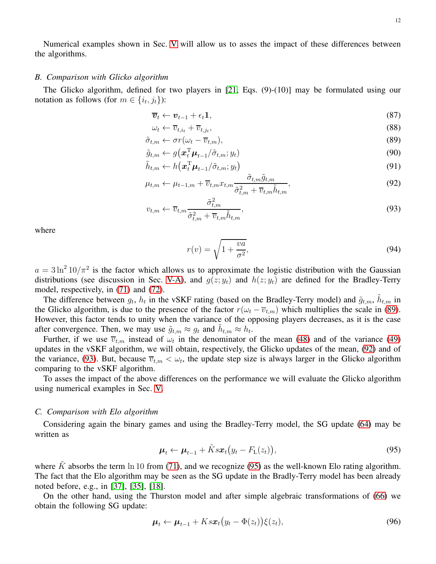Numerical examples shown in Sec. [V](#page-12-0) will allow us to asses the impact of these differences between the algorithms.

## <span id="page-11-6"></span>*B. Comparison with Glicko algorithm*

The Glicko algorithm, defined for two players in [\[21,](#page-21-2) Eqs. (9)-(10)] may be formulated using our notation as follows (for  $m \in \{i_t, j_t\}$ ):

$$
\overline{\boldsymbol{v}}_t \leftarrow \boldsymbol{v}_{t-1} + \epsilon_t \mathbf{1},\tag{87}
$$

$$
\omega_t \leftarrow \overline{v}_{t,i_t} + \overline{v}_{t,j_t},\tag{88}
$$

$$
\tilde{\sigma}_{t,m} \leftarrow \sigma r(\omega_t - \overline{v}_{t,m}),\tag{89}
$$

$$
\tilde{g}_{t,m} \leftarrow g\left(\boldsymbol{x}_t^{\mathrm{T}}\boldsymbol{\mu}_{t-1}/\tilde{\sigma}_{t,m}; y_t\right) \tag{90}
$$

$$
\tilde{h}_{t,m} \leftarrow h\left(\boldsymbol{x}_t^{\mathrm{T}}\boldsymbol{\mu}_{t-1}/\tilde{\sigma}_{t,m}; y_t\right) \tag{91}
$$

$$
\mu_{t,m} \leftarrow \mu_{t-1,m} + \overline{v}_{t,m} x_{t,m} \frac{\tilde{\sigma}_{t,m} \tilde{g}_{t,m}}{\tilde{\sigma}_{t,m}^2 + \overline{v}_{t,m} \tilde{h}_{t,m}},
$$
\n(92)

$$
v_{t,m} \leftarrow \overline{v}_{t,m} \frac{\tilde{\sigma}_{t,m}^2}{\tilde{\sigma}_{t,m}^2 + \overline{v}_{t,m} \tilde{h}_{t,m}},\tag{93}
$$

where

<span id="page-11-5"></span><span id="page-11-2"></span><span id="page-11-1"></span><span id="page-11-0"></span>
$$
r(v) = \sqrt{1 + \frac{va}{\sigma^2}},\tag{94}
$$

 $a = 3 \ln^2 10/\pi^2$  is the factor which allows us to approximate the logistic distribution with the Gaussian distributions (see discussion in Sec. [V-A\)](#page-12-1), and  $g(z; y_t)$  and  $h(z; y_t)$  are defined for the Bradley-Terry model, respectively, in [\(71\)](#page-9-3) and [\(72\)](#page-9-1).

The difference between  $g_t$ ,  $h_t$  in the vSKF rating (based on the Bradley-Terry model) and  $\tilde{g}_{t,m}$ ,  $\tilde{h}_{t,m}$  in the Glicko algorithm, is due to the presence of the factor  $r(\omega_t - \overline{v}_{t,m})$  which multiplies the scale in [\(89\)](#page-11-0). However, this factor tends to unity when the variance of the opposing players decreases, as it is the case after convergence. Then, we may use  $\tilde{g}_{t,m} \approx g_t$  and  $\tilde{h}_{t,m} \approx h_t$ .

Further, if we use  $\overline{v}_{t,m}$  instead of  $\omega_t$  in the denominator of the mean [\(48\)](#page-7-7) and of the variance [\(49\)](#page-7-8) updates in the vSKF algorithm, we will obtain, respectively, the Glicko updates of the mean, [\(92\)](#page-11-1) and of the variance, [\(93\)](#page-11-2). But, because  $\overline{v}_{t,m} < \omega_t$ , the update step size is always larger in the Glicko algorithm comparing to the vSKF algorithm.

To asses the impact of the above differences on the performance we will evaluate the Glicko algorithm using numerical examples in Sec. [V.](#page-12-0)

#### *C. Comparison with Elo algorithm*

Considering again the binary games and using the Bradley-Terry model, the SG update [\(64\)](#page-9-6) may be written as

<span id="page-11-3"></span>
$$
\boldsymbol{\mu}_t \leftarrow \boldsymbol{\mu}_{t-1} + \tilde{K} s \boldsymbol{x}_t (y_t - F_{\text{L}}(z_t)), \qquad (95)
$$

where  $\tilde{K}$  absorbs the term ln 10 from [\(71\)](#page-9-3), and we recognize [\(95\)](#page-11-3) as the well-known Elo rating algorithm. The fact that the Elo algorithm may be seen as the SG update in the Bradly-Terry model has been already noted before, e.g., in [\[37\]](#page-21-18), [\[35\]](#page-21-16), [\[18\]](#page-20-16).

On the other hand, using the Thurston model and after simple algebraic transformations of [\(66\)](#page-9-7) we obtain the following SG update:

<span id="page-11-4"></span>
$$
\boldsymbol{\mu}_t \leftarrow \boldsymbol{\mu}_{t-1} + K s \boldsymbol{x}_t (y_t - \Phi(z_t)) \xi(z_t), \qquad (96)
$$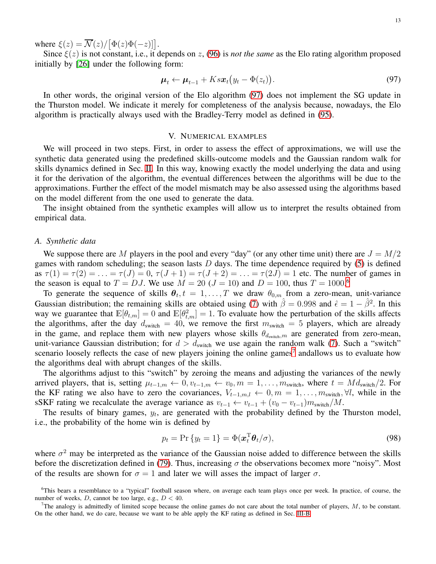where  $\xi(z) = \overline{\mathcal{N}}(z)/[\Phi(z)\Phi(-z)]$ .

Since  $\xi(z)$  is not constant, i.e., it depends on z, [\(96\)](#page-11-4) is *not the same* as the Elo rating algorithm proposed initially by [\[26\]](#page-21-7) under the following form:

$$
\boldsymbol{\mu}_t \leftarrow \boldsymbol{\mu}_{t-1} + K s \boldsymbol{x}_t \big( y_t - \boldsymbol{\Phi}(z_t) \big). \tag{97}
$$

In other words, the original version of the Elo algorithm [\(97\)](#page-12-2) does not implement the SG update in the Thurston model. We indicate it merely for completeness of the analysis because, nowadays, the Elo algorithm is practically always used with the Bradley-Terry model as defined in [\(95\)](#page-11-3).

#### <span id="page-12-2"></span>V. NUMERICAL EXAMPLES

<span id="page-12-0"></span>We will proceed in two steps. First, in order to assess the effect of approximations, we will use the synthetic data generated using the predefined skills-outcome models and the Gaussian random walk for skills dynamics defined in Sec. [II.](#page-2-0) In this way, knowing exactly the model underlying the data and using it for the derivation of the algorithm, the eventual differences between the algorithms will be due to the approximations. Further the effect of the model mismatch may be also assessed using the algorithms based on the model different from the one used to generate the data.

The insight obtained from the synthetic examples will allow us to interpret the results obtained from empirical data.

#### <span id="page-12-1"></span>*A. Synthetic data*

We suppose there are M players in the pool and every "day" (or any other time unit) there are  $J = M/2$ games with random scheduling; the season lasts  $D$  days. The time dependence required by  $(5)$  is defined as  $\tau(1) = \tau(2) = \ldots = \tau(J) = 0$ ,  $\tau(J+1) = \tau(J+2) = \ldots = \tau(2J) = 1$  etc. The number of games in the season is equal to  $T = DJ$ . We use  $M = 20$  ( $J = 10$ ) and  $D = 100$ , thus  $T = 1000$ .<sup>[6](#page-12-3)</sup>

To generate the sequence of skills  $\theta_t$ ,  $t = 1, \ldots, T$  we draw  $\theta_{0,m}$  from a zero-mean, unit-variance Gaussian distribution; the remaining skills are obtaied using [\(7\)](#page-3-1) with  $\hat{\beta} = 0.998$  and  $\hat{\epsilon} = 1 - \hat{\beta}^2$ . In this way we guarantee that  $\mathbb{E}[\theta_{t,m}] = 0$  and  $\mathbb{E}[\theta_{t,m}^2] = 1$ . To evaluate how the perturbation of the skills affects the algorithms, after the day  $d_{switch} = 40$ , we remove the first  $m_{switch} = 5$  players, which are already in the game, and replace them with new players whose skills  $\theta_{d_{switch},m}$  are generated from zero-mean, unit-variance Gaussian distribution; for  $d > d_{switch}$  we use again the random walk [\(7\)](#page-3-1). Such a "switch" scenario loosely reflects the case of new players joining the online games<sup>[7](#page-12-4)</sup> andallows us to evaluate how the algorithms deal with abrupt changes of the skills.

The algorithms adjust to this "switch" by zeroing the means and adjusting the variances of the newly arrived players, that is, setting  $\mu_{t-1,m} \leftarrow 0, v_{t-1,m} \leftarrow v_0, m = 1, \ldots, m_{\text{switch}}$ , where  $t = Md_{\text{switch}}/2$ . For the KF rating we also have to zero the covariances,  $V_{t-1,m,l} \leftarrow 0, m = 1, \ldots, m_{switch}, \forall l$ , while in the sSKF rating we recalculate the average variance as  $v_{t-1} \leftarrow v_{t-1} + (v_0 - v_{t-1})m_{\text{switch}}/M$ .

The results of binary games,  $y_t$ , are generated with the probability defined by the Thurston model, i.e., the probability of the home win is defined by

$$
p_t = \Pr\{y_t = 1\} = \Phi(\mathbf{x}_t^{\mathrm{T}} \boldsymbol{\theta}_t / \sigma),\tag{98}
$$

where  $\sigma^2$  may be interpreted as the variance of the Gaussian noise added to difference between the skills before the discretization defined in [\(79\)](#page-10-5). Thus, increasing  $\sigma$  the observations becomex more "noisy". Most of the results are shown for  $\sigma = 1$  and later we will asses the impact of larger  $\sigma$ .

<span id="page-12-3"></span><sup>6</sup>This bears a resemblance to a "typical" football season where, on average each team plays once per week. In practice, of course, the number of weeks,  $D$ , cannot be too large, e.g.,  $D < 40$ .

<span id="page-12-4"></span><sup>&</sup>lt;sup>7</sup>The analogy is admittedly of limited scope because the online games do not care about the total number of players,  $M$ , to be constant. On the other hand, we do care, because we want to be able apply the KF rating as defined in Sec. [III-B](#page-6-0)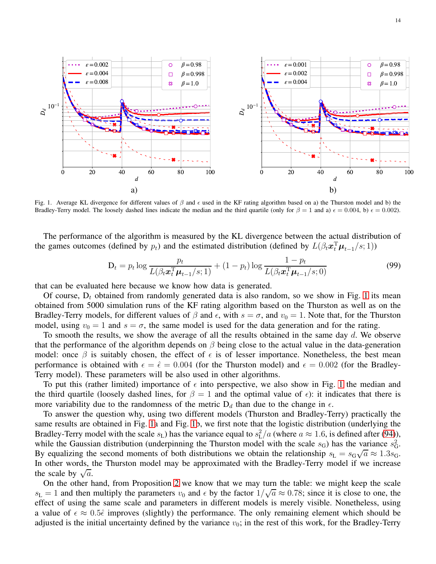

<span id="page-13-0"></span>Fig. 1. Average KL divergence for different values of  $\beta$  and  $\epsilon$  used in the KF rating algorithm based on a) the Thurston model and b) the Bradley-Terry model. The loosely dashed lines indicate the median and the third quartile (only for  $\beta = 1$  and a)  $\epsilon = 0.004$ , b)  $\epsilon = 0.002$ ).

The performance of the algorithm is measured by the KL divergence between the actual distribution of the games outcomes (defined by  $p_t$ ) and the estimated distribution (defined by  $L(\beta_t \mathbf{x}_t^T \boldsymbol{\mu}_{t-1}/s; 1)$ )

<span id="page-13-1"></span>
$$
D_t = p_t \log \frac{p_t}{L(\beta_t \mathbf{x}_t^{\mathrm{T}} \boldsymbol{\mu}_{t-1}/s; 1)} + (1 - p_t) \log \frac{1 - p_t}{L(\beta_t \mathbf{x}_t^{\mathrm{T}} \boldsymbol{\mu}_{t-1}/s; 0)}
$$
(99)

that can be evaluated here because we know how data is generated.

Of course,  $D_t$  obtained from randomly generated data is also random, so we show in Fig. [1](#page-13-0) its mean obtained from 5000 simulation runs of the KF rating algorithm based on the Thurston as well as on the Bradley-Terry models, for different values of  $\beta$  and  $\epsilon$ , with  $s = \sigma$ , and  $v_0 = 1$ . Note that, for the Thurston model, using  $v_0 = 1$  and  $s = \sigma$ , the same model is used for the data generation and for the rating.

To smooth the results, we show the average of all the results obtained in the same day  $d$ . We observe that the performance of the algorithm depends on  $\beta$  being close to the actual value in the data-generation model: once  $\beta$  is suitably chosen, the effect of  $\epsilon$  is of lesser importance. Nonetheless, the best mean performance is obtained with  $\epsilon = \hat{\epsilon} = 0.004$  (for the Thurston model) and  $\epsilon = 0.002$  (for the Bradley-Terry model). These parameters will be also used in other algorithms.

To put this (rather limited) importance of  $\epsilon$  into perspective, we also show in Fig. [1](#page-13-0) the median and the third quartile (loosely dashed lines, for  $\beta = 1$  and the optimal value of  $\epsilon$ ): it indicates that there is more variability due to the randomness of the metric  $D_d$  than due to the change in  $\epsilon$ .

To answer the question why, using two different models (Thurston and Bradley-Terry) practically the same results are obtained in Fig. [1a](#page-13-0) and Fig. [1b](#page-13-0), we first note that the logistic distribution (underlying the Bradley-Terry model with the scale  $s_L$ ) has the variance equal to  $s_L^2/a$  (where  $a \approx 1.6$ , is defined after [\(94\)](#page-11-5)), while the Gaussian distribution (underpinning the Thurston model with the scale  $s_G$ ) has the variance  $s_G^2$ . By equalizing the second moments of both distributions we obtain the relationship  $s_L = s_G \sqrt{a} \approx 1.3 s_G$ . In other words, the Thurston model may be approximated with the Bradley-Terry model if we increase the scale by  $\sqrt{a}$ .

On the other hand, from Proposition [2](#page-9-2) we know that we may turn the table: we might keep the scale  $s_L = 1$  and then multiply the parameters  $v_0$  and  $\epsilon$  by the factor  $1/\sqrt{a} \approx 0.78$ ; since it is close to one, the effect of using the same scale and parameters in different models is merely visible. Nonetheless, using a value of  $\epsilon \approx 0.5\hat{\epsilon}$  improves (slightly) the performance. The only remaining element which should be adjusted is the initial uncertainty defined by the variance  $v_0$ ; in the rest of this work, for the Bradley-Terry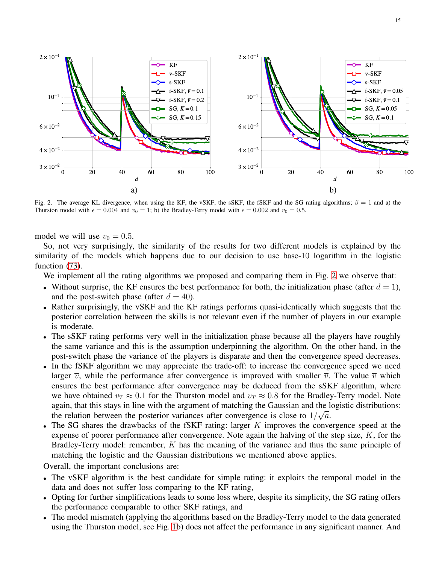

<span id="page-14-0"></span>Fig. 2. The average KL divergence, when using the KF, the vSKF, the sSKF, the fSKF and the SG rating algorithms;  $\beta = 1$  and a) the Thurston model with  $\epsilon = 0.004$  and  $v_0 = 1$ ; b) the Bradley-Terry model with  $\epsilon = 0.002$  and  $v_0 = 0.5$ .

model we will use  $v_0 = 0.5$ .

So, not very surprisingly, the similarity of the results for two different models is explained by the similarity of the models which happens due to our decision to use base-10 logarithm in the logistic function  $(73)$ .

We implement all the rating algorithms we proposed and comparing them in Fig. [2](#page-14-0) we observe that:

- Without surprise, the KF ensures the best performance for both, the initialization phase (after  $d = 1$ ), and the post-switch phase (after  $d = 40$ ).
- Rather surprisingly, the vSKF and the KF ratings performs quasi-identically which suggests that the posterior correlation between the skills is not relevant even if the number of players in our example is moderate.
- The sSKF rating performs very well in the initialization phase because all the players have roughly the same variance and this is the assumption underpinning the algorithm. On the other hand, in the post-switch phase the variance of the players is disparate and then the convergence speed decreases.
- In the fSKF algorithm we may appreciate the trade-off: to increase the convergence speed we need larger  $\overline{v}$ , while the performance after convergence is improved with smaller  $\overline{v}$ . The value  $\overline{v}$  which ensures the best performance after convergence may be deduced from the sSKF algorithm, where we have obtained  $v_T \approx 0.1$  for the Thurston model and  $v_T \approx 0.8$  for the Bradley-Terry model. Note again, that this stays in line with the argument of matching the Gaussian and the logistic distributions: the relation between the posterior variances after convergence is close to  $1/\sqrt{a}$ .
- The SG shares the drawbacks of the fSKF rating: larger K improves the convergence speed at the expense of poorer performance after convergence. Note again the halving of the step size,  $K$ , for the Bradley-Terry model: remember, K has the meaning of the variance and thus the same principle of matching the logistic and the Gaussian distributions we mentioned above applies.

Overall, the important conclusions are:

- The vSKF algorithm is the best candidate for simple rating: it exploits the temporal model in the data and does not suffer loss comparing to the KF rating,
- Opting for further simplifications leads to some loss where, despite its simplicity, the SG rating offers the performance comparable to other SKF ratings, and
- The model mismatch (applying the algorithms based on the Bradley-Terry model to the data generated using the Thurston model, see Fig. [1b](#page-13-0)) does not affect the performance in any significant manner. And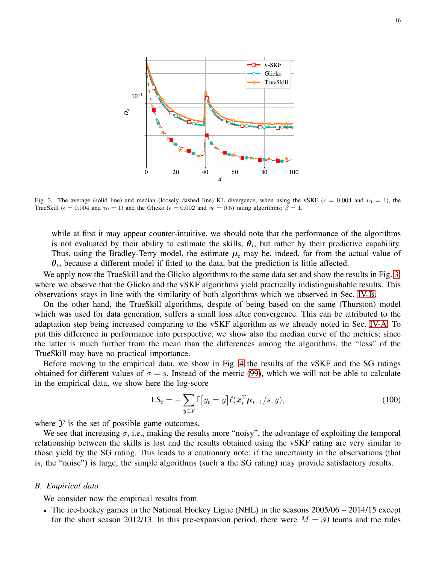

<span id="page-15-0"></span>Fig. 3. The average (solid line) and median (loosely dashed line) KL divergence, when using the vSKF ( $\epsilon = 0.004$  and  $v_0 = 1$ ), the TrueSkill ( $\epsilon = 0.004$  and  $v_0 = 1$ ) and the Glicko ( $\epsilon = 0.002$  and  $v_0 = 0.5$ ) rating algorithms;  $\beta = 1$ .

while at first it may appear counter-intuitive, we should note that the performance of the algorithms is not evaluated by their ability to estimate the skills,  $\theta_t$ , but rather by their predictive capability. Thus, using the Bradley-Terry model, the estimate  $\mu_t$  may be, indeed, far from the actual value of  $\theta_t$ , because a different model if fitted to the data, but the prediction is little affected.

We apply now the TrueSkill and the Glicko algorithms to the same data set and show the results in Fig. [3,](#page-15-0) where we observe that the Glicko and the vSKF algorithms yield practically indistinguishable results. This observations stays in line with the similarity of both algorithms which we observed in Sec. [IV-B.](#page-11-6)

On the other hand, the TrueSkill algorithms, despite of being based on the same (Thurston) model which was used for data generation, suffers a small loss after convergence. This can be attributed to the adaptation step being increased comparing to the vSKF algorithm as we already noted in Sec. [IV-A.](#page-10-6) To put this difference in performance into perspective, we show also the median curve of the metrics; since the latter is much further from the mean than the differences among the algorithms, the "loss" of the TrueSkill may have no practical importance.

Before moving to the empirical data, we show in Fig. [4](#page-16-0) the results of the vSKF and the SG ratings obtained for different values of  $\sigma = s$ . Instead of the metric [\(99\)](#page-13-1), which we will not be able to calculate in the empirical data, we show here the log-score

<span id="page-15-1"></span>
$$
\mathbf{LS}_{t} = -\sum_{y \in \mathcal{Y}} \mathbb{I}\left[y_{t} = y\right] \ell(\boldsymbol{x}_{t}^{\mathrm{T}} \boldsymbol{\mu}_{t-1} / s; y),\tag{100}
$$

where  $Y$  is the set of possible game outcomes.

We see that increasing  $\sigma$ , i.e., making the results more "noisy", the advantage of exploiting the temporal relationship between the skills is lost and the results obtained using the vSKF rating are very similar to those yield by the SG rating. This leads to a cautionary note: if the uncertainty in the observations (that is, the "noise") is large, the simple algorithms (such a the SG rating) may provide satisfactory results.

## *B. Empirical data*

We consider now the empirical results from

• The ice-hockey games in the National Hockey Ligue (NHL) in the seasons  $2005/06 - 2014/15$  except for the short season 2012/13. In this pre-expansion period, there were  $M = 30$  teams and the rules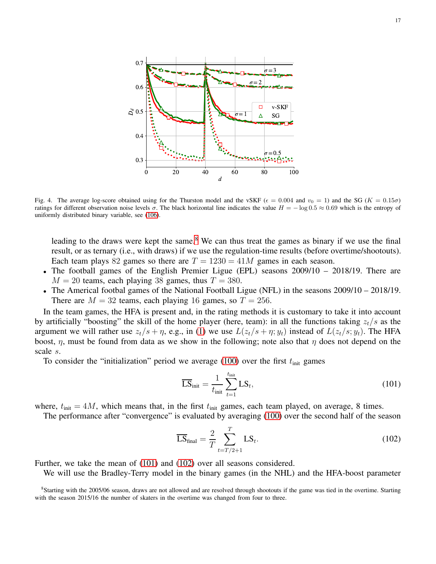

<span id="page-16-0"></span>Fig. 4. The average log-score obtained using for the Thurston model and the vSKF ( $\epsilon = 0.004$  and  $v_0 = 1$ ) and the SG ( $K = 0.15\sigma$ ) ratings for different observation noise levels  $\sigma$ . The black horizontal line indicates the value  $H = -\log 0.5 \approx 0.69$  which is the entropy of uniformly distributed binary variable, see [\(106\)](#page-17-0).

leading to the draws were kept the same.<sup>[8](#page-16-1)</sup> We can thus treat the games as binary if we use the final result, or as ternary (i.e., with draws) if we use the regulation-time results (before overtime/shootouts). Each team plays 82 games so there are  $T = 1230 = 41M$  games in each season.

- The football games of the English Premier Ligue (EPL) seasons 2009/10 2018/19. There are  $M = 20$  teams, each playing 38 games, thus  $T = 380$ .
- The Americal footbal games of the National Football Ligue (NFL) in the seasons 2009/10 2018/19. There are  $M = 32$  teams, each playing 16 games, so  $T = 256$ .

In the team games, the HFA is present and, in the rating methods it is customary to take it into account by artificially "boosting" the skill of the home player (here, team): in all the functions taking  $z_t/s$  as the argument we will rather use  $z_t/s + \eta$ , e.g., in [\(1\)](#page-2-2) we use  $L(z_t/s + \eta; y_t)$  instead of  $L(z_t/s; y_t)$ . The HFA boost,  $\eta$ , must be found from data as we show in the following; note also that  $\eta$  does not depend on the scale s.

To consider the "initialization" period we average [\(100\)](#page-15-1) over the first  $t_{\text{init}}$  games

<span id="page-16-2"></span>
$$
\overline{\text{LS}}_{\text{init}} = \frac{1}{t_{\text{init}}} \sum_{t=1}^{t_{\text{init}}} \text{LS}_t,
$$
\n(101)

where,  $t_{\text{init}} = 4M$ , which means that, in the first  $t_{\text{init}}$  games, each team played, on average, 8 times.

The performance after "convergence" is evaluated by averaging [\(100\)](#page-15-1) over the second half of the season

<span id="page-16-3"></span>
$$
\overline{\text{LS}}_{\text{final}} = \frac{2}{T} \sum_{t=T/2+1}^{T} \text{LS}_{t}.
$$
\n(102)

Further, we take the mean of [\(101\)](#page-16-2) and [\(102\)](#page-16-3) over all seasons considered.

We will use the Bradley-Terry model in the binary games (in the NHL) and the HFA-boost parameter

<span id="page-16-1"></span><sup>&</sup>lt;sup>8</sup>Starting with the 2005/06 season, draws are not allowed and are resolved through shootouts if the game was tied in the overtime. Starting with the season 2015/16 the number of skaters in the overtime was changed from four to three.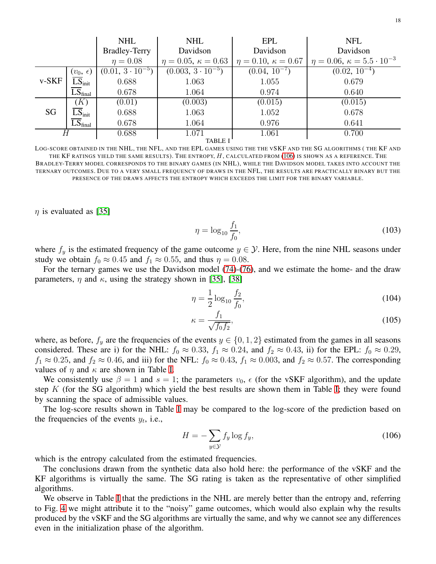|                |                     | <b>NHL</b>                | <b>NHL</b>                      | <b>EPL</b>                      | <b>NFL</b>                                   |
|----------------|---------------------|---------------------------|---------------------------------|---------------------------------|----------------------------------------------|
|                |                     | <b>Bradley-Terry</b>      | Davidson                        | Davidson                        | Davidson                                     |
|                |                     | $\eta = 0.08$             | $\eta = 0.05, \, \kappa = 0.63$ | $\eta = 0.10, \, \kappa = 0.67$ | $\eta = 0.06, \, \kappa = 5.5 \cdot 10^{-3}$ |
| $v-SKF$        | $(v_0, \epsilon)$   | $(0.01, 3 \cdot 10^{-5})$ | $(0.003, 3 \cdot 10^{-5})$      | $(0.04, 10^{-7})$               | $(0.02, \overline{10^{-4}})$                 |
|                | $LS_{init}$         | 0.688                     | 1.063                           | 1.055                           | 0.679                                        |
|                | LS <sub>final</sub> | 0.678                     | 1.064                           | 0.974                           | 0.640                                        |
| SG             | (K)                 | (0.01)                    | (0.003)                         | (0.015)                         | (0.015)                                      |
|                | $LS_{\text{init}}$  | 0.688                     | 1.063                           | 1.052                           | 0.678                                        |
|                | $LS_{final}$        | 0.678                     | 1.064                           | 0.976                           | 0.641                                        |
| Н              |                     | 0.688                     | 1.071                           | 1.061                           | 0.700                                        |
| <b>TABLE I</b> |                     |                           |                                 |                                 |                                              |

<span id="page-17-1"></span>LOG-SCORE OBTAINED IN THE NHL, THE NFL, AND THE EPL GAMES USING THE THE VSKF AND THE SG ALGORITHMS ( THE KF AND THE KF RATINGS YIELD THE SAME RESULTS). THE ENTROPY,  $H$ , CALCULATED FROM [\(106\)](#page-17-0) IS SHOWN AS A REFERENCE. THE BRADLEY-TERRY MODEL CORRESPONDS TO THE BINARY GAMES (IN NHL), WHILE THE DAVIDSON MODEL TAKES INTO ACCOUNT THE TERNARY OUTCOMES. DUE TO A VERY SMALL FREQUENCY OF DRAWS IN THE NFL, THE RESULTS ARE PRACTICALLY BINARY BUT THE PRESENCE OF THE DRAWS AFFECTS THE ENTROPY WHICH EXCEEDS THE LIMIT FOR THE BINARY VARIABLE.

 $\eta$  is evaluated as [\[35\]](#page-21-16)

$$
\eta = \log_{10} \frac{f_1}{f_0},\tag{103}
$$

where  $f_y$  is the estimated frequency of the game outcome  $y \in \mathcal{Y}$ . Here, from the nine NHL seasons under study we obtain  $f_0 \approx 0.45$  and  $f_1 \approx 0.55$ , and thus  $\eta = 0.08$ .

For the ternary games we use the Davidson model [\(74\)](#page-10-7)-[\(76\)](#page-10-0), and we estimate the home- and the draw parameters,  $\eta$  and  $\kappa$ , using the strategy shown in [\[35\]](#page-21-16), [\[38\]](#page-21-19)

$$
\eta = \frac{1}{2} \log_{10} \frac{f_2}{f_0},\tag{104}
$$

$$
\kappa = \frac{f_1}{\sqrt{f_0 f_2}},\tag{105}
$$

where, as before,  $f_y$  are the frequencies of the events  $y \in \{0, 1, 2\}$  estimated from the games in all seasons considered. These are i) for the NHL:  $f_0 \approx 0.33$ ,  $f_1 \approx 0.24$ , and  $f_2 \approx 0.43$ , ii) for the EPL:  $f_0 \approx 0.29$ ,  $f_1 \approx 0.25$ , and  $f_2 \approx 0.46$ , and iii) for the NFL:  $f_0 \approx 0.43$ ,  $f_1 \approx 0.003$ , and  $f_2 \approx 0.57$ . The corresponding values of  $\eta$  and  $\kappa$  are shown in Table [I.](#page-17-1)

We consistently use  $\beta = 1$  and  $s = 1$ ; the parameters  $v_0$ ,  $\epsilon$  (for the vSKF algorithm), and the update step  $K$  (for the SG algorithm) which yield the best results are shown them in Table [I;](#page-17-1) they were found by scanning the space of admissible values.

The log-score results shown in Table [I](#page-17-1) may be compared to the log-score of the prediction based on the frequencies of the events  $y_t$ , i.e.,

<span id="page-17-0"></span>
$$
H = -\sum_{y \in \mathcal{Y}} f_y \log f_y,\tag{106}
$$

which is the entropy calculated from the estimated frequencies.

The conclusions drawn from the synthetic data also hold here: the performance of the vSKF and the KF algorithms is virtually the same. The SG rating is taken as the representative of other simplified algorithms.

We observe in Table [I](#page-17-1) that the predictions in the NHL are merely better than the entropy and, referring to Fig. [4](#page-16-0) we might attribute it to the "noisy" game outcomes, which would also explain why the results produced by the vSKF and the SG algorithms are virtually the same, and why we cannot see any differences even in the initialization phase of the algorithm.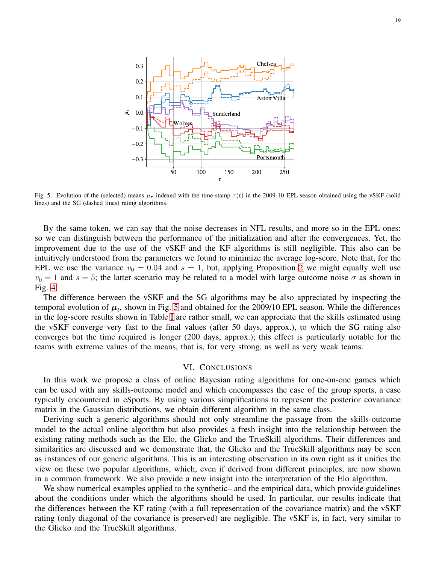

<span id="page-18-1"></span>Fig. 5. Evolution of the (selected) means  $\mu_{\tau}$  indexed with the time-stamp  $\tau(t)$  in the 2009-10 EPL season obtained using the vSKF (solid lines) and the SG (dashed lines) rating algorithms.

By the same token, we can say that the noise decreases in NFL results, and more so in the EPL ones: so we can distinguish between the performance of the initialization and after the convergences. Yet, the improvement due to the use of the vSKF and the KF algorithms is still negligible. This also can be intuitively understood from the parameters we found to minimize the average log-score. Note that, for the EPL we use the variance  $v_0 = 0.04$  and  $s = 1$ , but, applying Proposition [2](#page-9-2) we might equally well use  $v_0 = 1$  and  $s = 5$ ; the latter scenario may be related to a model with large outcome noise  $\sigma$  as shown in Fig. [4.](#page-16-0)

The difference between the vSKF and the SG algorithms may be also appreciated by inspecting the temporal evolution of  $\mu_t$ , shown in Fig. [5](#page-18-1) and obtained for the 2009/10 EPL season. While the differences in the log-score results shown in Table [I](#page-17-1) are rather small, we can appreciate that the skills estimated using the vSKF converge very fast to the final values (after 50 days, approx.), to which the SG rating also converges but the time required is longer (200 days, approx.); this effect is particularly notable for the teams with extreme values of the means, that is, for very strong, as well as very weak teams.

## VI. CONCLUSIONS

<span id="page-18-0"></span>In this work we propose a class of online Bayesian rating algorithms for one-on-one games which can be used with any skills-outcome model and which encompasses the case of the group sports, a case typically encountered in eSports. By using various simplifications to represent the posterior covariance matrix in the Gaussian distributions, we obtain different algorithm in the same class.

Deriving such a generic algorithms should not only streamline the passage from the skills-outcome model to the actual online algorithm but also provides a fresh insight into the relationship between the existing rating methods such as the Elo, the Glicko and the TrueSkill algorithms. Their differences and similarities are discussed and we demonstrate that, the Glicko and the TrueSkill algorithms may be seen as instances of our generic algorithms. This is an interesting observation in its own right as it unifies the view on these two popular algorithms, which, even if derived from different principles, are now shown in a common framework. We also provide a new insight into the interpretation of the Elo algorithm.

We show numerical examples applied to the synthetic– and the empirical data, which provide guidelines about the conditions under which the algorithms should be used. In particular, our results indicate that the differences between the KF rating (with a full representation of the covariance matrix) and the vSKF rating (only diagonal of the covariance is preserved) are negligible. The vSKF is, in fact, very similar to the Glicko and the TrueSkill algorithms.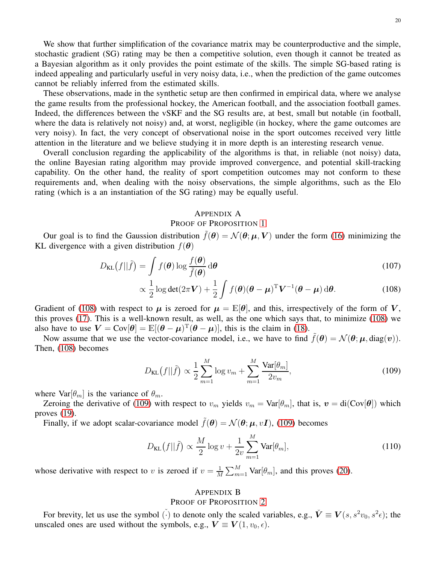We show that further simplification of the covariance matrix may be counterproductive and the simple, stochastic gradient (SG) rating may be then a competitive solution, even though it cannot be treated as a Bayesian algorithm as it only provides the point estimate of the skills. The simple SG-based rating is indeed appealing and particularly useful in very noisy data, i.e., when the prediction of the game outcomes cannot be reliably inferred from the estimated skills.

These observations, made in the synthetic setup are then confirmed in empirical data, where we analyse the game results from the professional hockey, the American football, and the association football games. Indeed, the differences between the vSKF and the SG results are, at best, small but notable (in football, where the data is relatively not noisy) and, at worst, negligible (in hockey, where the game outcomes are very noisy). In fact, the very concept of observational noise in the sport outcomes received very little attention in the literature and we believe studying it in more depth is an interesting research venue.

Overall conclusion regarding the applicability of the algorithms is that, in reliable (not noisy) data, the online Bayesian rating algorithm may provide improved convergence, and potential skill-tracking capability. On the other hand, the reality of sport competition outcomes may not conform to these requirements and, when dealing with the noisy observations, the simple algorithms, such as the Elo rating (which is a an instantiation of the SG rating) may be equally useful.

## <span id="page-19-2"></span><span id="page-19-0"></span>APPENDIX A

## PROOF OF PROPOSITION [1](#page-5-7)

Our goal is to find the Gaussion distribution  $\tilde{f}(\theta) = \mathcal{N}(\theta; \mu, V)$  under the form [\(16\)](#page-5-1) minimizing the KL divergence with a given distribution  $f(\boldsymbol{\theta})$ 

$$
D_{\text{KL}}(f||\tilde{f}) = \int f(\boldsymbol{\theta}) \log \frac{f(\boldsymbol{\theta})}{\tilde{f}(\boldsymbol{\theta})} d\boldsymbol{\theta}
$$
 (107)

$$
\propto \frac{1}{2}\log \det(2\pi \mathbf{V}) + \frac{1}{2}\int f(\boldsymbol{\theta}) (\boldsymbol{\theta} - \boldsymbol{\mu})^{\mathrm{T}} \mathbf{V}^{-1} (\boldsymbol{\theta} - \boldsymbol{\mu}) \,\mathrm{d}\boldsymbol{\theta}.
$$
 (108)

Gradient of [\(108\)](#page-19-2) with respect to  $\mu$  is zeroed for  $\mu = \mathbb{E}[\theta]$ , and this, irrespectively of the form of V, this proves [\(17\)](#page-5-3). This is a well-known result, as well, as the one which says that, to minimize [\(108\)](#page-19-2) we also have to use  $V = Cov[\theta] = \mathbb{E}[(\theta - \mu)^T(\theta - \mu)]$ , this is the claim in [\(18\)](#page-5-4).

Now assume that we use the vector-covariance model, i.e., we have to find  $\tilde{f}(\theta) = \mathcal{N}(\theta; \mu, \text{diag}(v)).$ Then, [\(108\)](#page-19-2) becomes

$$
D_{\text{KL}}(f||\tilde{f}) \propto \frac{1}{2} \sum_{m=1}^{M} \log v_m + \sum_{m=1}^{M} \frac{\text{Var}[\theta_m]}{2v_m},
$$
\n(109)

where  $\text{Var}[\theta_m]$  is the variance of  $\theta_m$ .

Zeroing the derivative of [\(109\)](#page-19-3) with respect to  $v_m$  yields  $v_m = \text{Var}[\theta_m]$ , that is,  $v = \text{di}(\text{Cov}[\theta])$  which proves [\(19\)](#page-5-5).

Finally, if we adopt scalar-covariance model  $\tilde{f}(\theta) = \mathcal{N}(\theta; \mu, vI)$ , [\(109\)](#page-19-3) becomes

$$
D_{\text{KL}}\big(f||\tilde{f}\big) \propto \frac{M}{2} \log v + \frac{1}{2v} \sum_{m=1}^{M} \text{Var}[\theta_m],\tag{110}
$$

whose derivative with respect to v is zeroed if  $v = \frac{1}{\lambda}$  $\frac{1}{M} \sum_{m=1}^{M} \text{Var}[\theta_m]$ , and this proves [\(20\)](#page-5-2).

## <span id="page-19-3"></span><span id="page-19-1"></span>APPENDIX B

## PROOF OF PROPOSITION [2](#page-9-2)

For brevity, let us use the symbol ( $\check{\cdot}$ ) to denote only the scaled variables, e.g.,  $\check{\mathbf{V}} \equiv \mathbf{V}(s, s^2v_0, s^2\epsilon)$ ; the unscaled ones are used without the symbols, e.g.,  $V \equiv V(1, v_0, \epsilon)$ .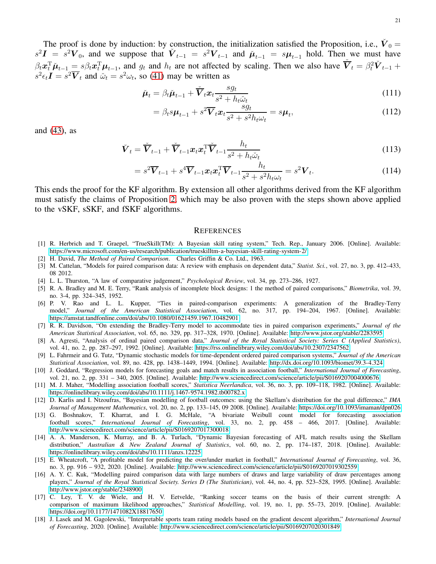The proof is done by induction: by construction, the initialization satisfied the Proposition, i.e.,  $\check{V}_0$  =  $s^2I = s^2V_0$ , and we suppose that  $\check{V}_{t-1} = s^2V_{t-1}$  and  $\check{\mu}_{t-1} = s\mu_{t-1}$  hold. Then we must have  $\beta_t \mathbf{x}_t^{\mathrm{T}} \tilde{\boldsymbol{\mu}}_{t-1} = s \beta_t \mathbf{x}_t^{\mathrm{T}} \boldsymbol{\mu}_{t-1}$ , and  $g_t$  and  $h_t$  are not affected by scaling. Then we also have  $\dot{\overline{V}}_t = \beta_t^2 \dot{V}_{t-1} + \beta_t \dot{\overline{V}}_t$  $s^2 \epsilon_t \mathbf{I} = s^2 \overline{\mathbf{V}}_t$  and  $\tilde{\omega}_t = s^2 \omega_t$ , so [\(41\)](#page-7-9) may be written as

$$
\check{\boldsymbol{\mu}}_t = \beta_t \check{\boldsymbol{\mu}}_{t-1} + \check{\overline{\boldsymbol{V}}}_t \boldsymbol{x}_t \frac{sg_t}{s^2 + h_t \check{\omega}_t}
$$
(111)

$$
= \beta_t s \mu_{t-1} + s^2 \overline{V}_t x_t \frac{sg_t}{s^2 + s^2 h_t \omega_t} = s \mu_t,
$$
\n(112)

and [\(43\)](#page-7-4), as

$$
\check{\boldsymbol{V}}_t = \check{\overline{\boldsymbol{V}}}_{t-1} + \check{\overline{\boldsymbol{V}}}_{t-1} \boldsymbol{x}_t \boldsymbol{x}_t^{\mathrm{T}} \check{\overline{\boldsymbol{V}}}_{t-1} \frac{h_t}{s^2 + h_t \check{\omega}_t}
$$
\n(113)

$$
=s^2\overline{\mathbf{V}}_{t-1} + s^4 \overline{\mathbf{V}}_{t-1} \mathbf{x}_t \mathbf{x}_t^{\mathrm{T}} \overline{\mathbf{V}}_{t-1} \frac{h_t}{s^2 + s^2 h_t \omega_t} = s^2 \mathbf{V}_t.
$$
 (114)

This ends the proof for the KF algorithm. By extension all other algorithms derived from the KF algorithm must satisfy the claims of Proposition [2,](#page-9-2) which may be also proven with the steps shown above applied to the vSKF, sSKF, and fSKF algorithms.

#### **REFERENCES**

- <span id="page-20-17"></span>[1] R. Herbrich and T. Graepel, "TrueSkill(TM): A Bayesian skill rating system," Tech. Rep., January 2006. [Online]. Available: <https://www.microsoft.com/en-us/research/publication/trueskilltm-a-bayesian-skill-rating-system-2/>
- <span id="page-20-1"></span><span id="page-20-0"></span>[2] H. David, *The Method of Paired Comparison*. Charles Griffin & Co. Ltd., 1963.
- <span id="page-20-2"></span>[3] M. Cattelan, "Models for paired comparison data: A review with emphasis on dependent data," *Statist. Sci.*, vol. 27, no. 3, pp. 412–433, 08 2012.
- <span id="page-20-3"></span>[4] L. L. Thurston, "A law of comparative judgement," *Psychological Review*, vol. 34, pp. 273–286, 1927.
- [5] R. A. Bradley and M. E. Terry, "Rank analysis of incomplete block designs: 1 the method of paired comparisons," *Biometrika*, vol. 39, no. 3-4, pp. 324–345, 1952.
- <span id="page-20-4"></span>[6] P. V. Rao and L. L. Kupper, "Ties in paired-comparison experiments: A generalization of the Bradley-Terry model," *Journal of the American Statistical Association*, vol. 62, no. 317, pp. 194–204, 1967. [Online]. Available: <https://amstat.tandfonline.com/doi/abs/10.1080/01621459.1967.10482901>
- <span id="page-20-5"></span>[7] R. R. Davidson, "On extending the Bradley-Terry model to accommodate ties in paired comparison experiments," *Journal of the American Statistical Association*, vol. 65, no. 329, pp. 317–328, 1970. [Online]. Available:<http://www.jstor.org/stable/2283595>
- <span id="page-20-6"></span>[8] A. Agresti, "Analysis of ordinal paired comparison data," *Journal of the Royal Statistical Society: Series C (Applied Statistics)*, vol. 41, no. 2, pp. 287–297, 1992. [Online]. Available:<https://rss.onlinelibrary.wiley.com/doi/abs/10.2307/2347562>
- <span id="page-20-7"></span>[9] L. Fahrmeir and G. Tutz, "Dynamic stochastic models for time-dependent ordered paired comparison systems," *Journal of the American Statistical Association*, vol. 89, no. 428, pp. 1438–1449, 1994. [Online]. Available:<http://dx.doi.org/10.1093/biomet/39.3-4.324>
- <span id="page-20-8"></span>[10] J. Goddard, "Regression models for forecasting goals and match results in association football," *International Journal of Forecasting*, vol. 21, no. 2, pp. 331 – 340, 2005. [Online]. Available:<http://www.sciencedirect.com/science/article/pii/S0169207004000676>
- <span id="page-20-9"></span>[11] M. J. Maher, "Modelling association football scores," *Statistica Neerlandica*, vol. 36, no. 3, pp. 109–118, 1982. [Online]. Available: <https://onlinelibrary.wiley.com/doi/abs/10.1111/j.1467-9574.1982.tb00782.x>
- <span id="page-20-10"></span>[12] D. Karlis and I. Ntzoufras, "Bayesian modelling of football outcomes: using the Skellam's distribution for the goal difference," *IMA Journal of Management Mathematics*, vol. 20, no. 2, pp. 133–145, 09 2008. [Online]. Available:<https://doi.org/10.1093/imaman/dpn026>
- <span id="page-20-11"></span>[13] G. Boshnakov, T. Kharrat, and I. G. McHale, "A bivariate Weibull count model for forecasting association football scores," *International Journal of Forecasting*, vol. 33, no. 2, pp. 458 – 466, 2017. [Online]. Available: <http://www.sciencedirect.com/science/article/pii/S0169207017300018>
- <span id="page-20-12"></span>[14] A. A. Manderson, K. Murray, and B. A. Turlach, "Dynamic Bayesian forecasting of AFL match results using the Skellam distribution," *Australian & New Zealand Journal of Statistics*, vol. 60, no. 2, pp. 174–187, 2018. [Online]. Available: <https://onlinelibrary.wiley.com/doi/abs/10.1111/anzs.12225>
- <span id="page-20-13"></span>[15] E. Wheatcroft, "A profitable model for predicting the over/under market in football," *International Journal of Forecasting*, vol. 36, no. 3, pp. 916 – 932, 2020. [Online]. Available:<http://www.sciencedirect.com/science/article/pii/S0169207019302559>
- <span id="page-20-14"></span>[16] A. Y. C. Kuk, "Modelling paired comparison data with large numbers of draws and large variability of draw percentages among players," *Journal of the Royal Statistical Society. Series D (The Statistician)*, vol. 44, no. 4, pp. 523–528, 1995. [Online]. Available: <http://www.jstor.org/stable/2348900>
- <span id="page-20-15"></span>[17] C. Ley, T. V. de Wiele, and H. V. Eetvelde, "Ranking soccer teams on the basis of their current strength: A comparison of maximum likelihood approaches," *Statistical Modelling*, vol. 19, no. 1, pp. 55–73, 2019. [Online]. Available: <https://doi.org/10.1177/1471082X18817650>
- <span id="page-20-16"></span>[18] J. Lasek and M. Gagolewski, "Interpretable sports team rating models based on the gradient descent algorithm," *International Journal of Forecasting*, 2020. [Online]. Available:<http://www.sciencedirect.com/science/article/pii/S0169207020301849>